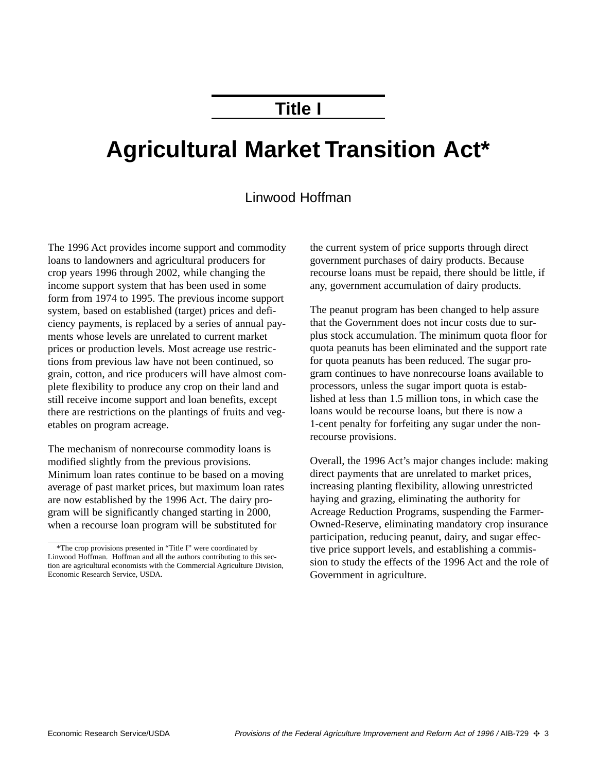## **Title I**

# **Agricultural Market Transition Act\***

### Linwood Hoffman

The 1996 Act provides income support and commodity loans to landowners and agricultural producers for crop years 1996 through 2002, while changing the income support system that has been used in some form from 1974 to 1995. The previous income support system, based on established (target) prices and deficiency payments, is replaced by a series of annual payments whose levels are unrelated to current market prices or production levels. Most acreage use restrictions from previous law have not been continued, so grain, cotton, and rice producers will have almost complete flexibility to produce any crop on their land and still receive income support and loan benefits, except there are restrictions on the plantings of fruits and vegetables on program acreage.

The mechanism of nonrecourse commodity loans is modified slightly from the previous provisions. Minimum loan rates continue to be based on a moving average of past market prices, but maximum loan rates are now established by the 1996 Act. The dairy program will be significantly changed starting in 2000, when a recourse loan program will be substituted for

the current system of price supports through direct government purchases of dairy products. Because recourse loans must be repaid, there should be little, if any, government accumulation of dairy products.

The peanut program has been changed to help assure that the Government does not incur costs due to surplus stock accumulation. The minimum quota floor for quota peanuts has been eliminated and the support rate for quota peanuts has been reduced. The sugar program continues to have nonrecourse loans available to processors, unless the sugar import quota is established at less than 1.5 million tons, in which case the loans would be recourse loans, but there is now a 1-cent penalty for forfeiting any sugar under the nonrecourse provisions.

Overall, the 1996 Act's major changes include: making direct payments that are unrelated to market prices, increasing planting flexibility, allowing unrestricted haying and grazing, eliminating the authority for Acreage Reduction Programs, suspending the Farmer-Owned-Reserve, eliminating mandatory crop insurance participation, reducing peanut, dairy, and sugar effective price support levels, and establishing a commission to study the effects of the 1996 Act and the role of Government in agriculture.

<sup>\*</sup>The crop provisions presented in "Title I" were coordinated by Linwood Hoffman. Hoffman and all the authors contributing to this section are agricultural economists with the Commercial Agriculture Division, Economic Research Service, USDA.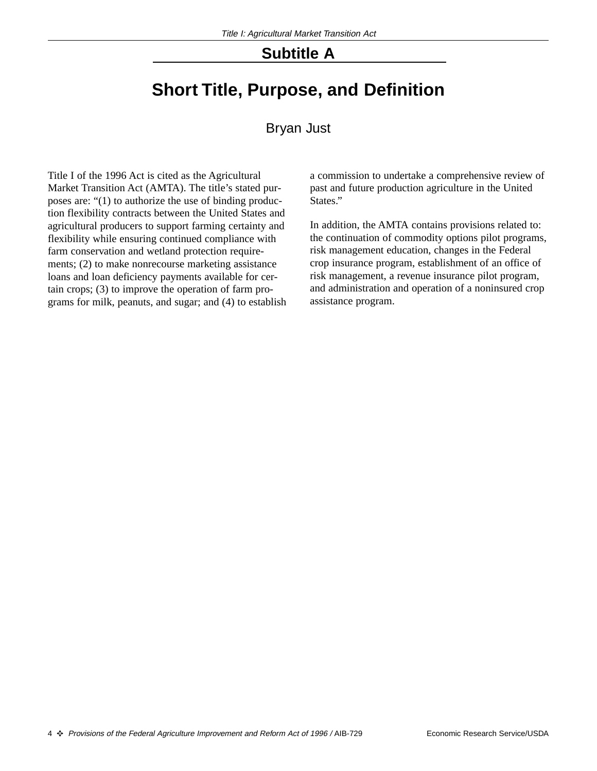## **Subtitle A**

## **Short Title, Purpose, and Definition**

#### Bryan Just

Title I of the 1996 Act is cited as the Agricultural Market Transition Act (AMTA). The title's stated purposes are: "(1) to authorize the use of binding production flexibility contracts between the United States and agricultural producers to support farming certainty and flexibility while ensuring continued compliance with farm conservation and wetland protection requirements; (2) to make nonrecourse marketing assistance loans and loan deficiency payments available for certain crops; (3) to improve the operation of farm programs for milk, peanuts, and sugar; and (4) to establish

a commission to undertake a comprehensive review of past and future production agriculture in the United States."

In addition, the AMTA contains provisions related to: the continuation of commodity options pilot programs, risk management education, changes in the Federal crop insurance program, establishment of an office of risk management, a revenue insurance pilot program, and administration and operation of a noninsured crop assistance program.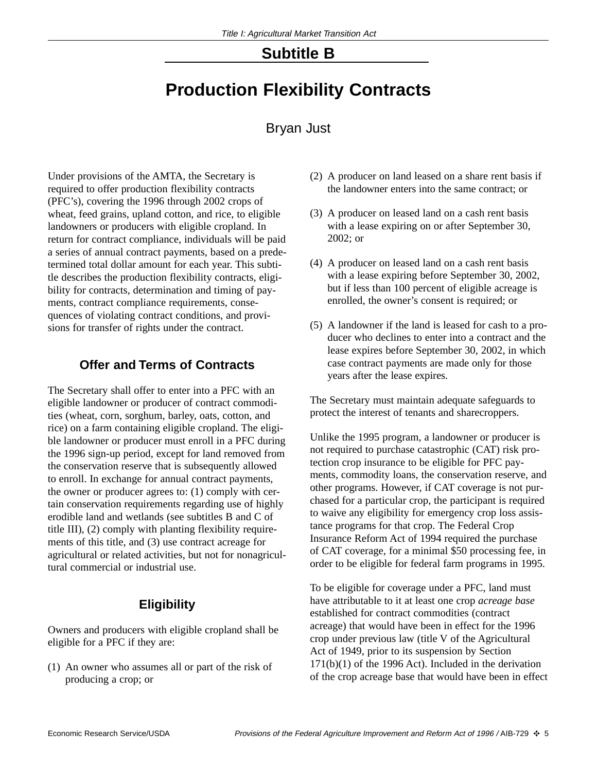## **Subtitle B**

## **Production Flexibility Contracts**

## Bryan Just

Under provisions of the AMTA, the Secretary is required to offer production flexibility contracts (PFC's), covering the 1996 through 2002 crops of wheat, feed grains, upland cotton, and rice, to eligible landowners or producers with eligible cropland. In return for contract compliance, individuals will be paid a series of annual contract payments, based on a predetermined total dollar amount for each year. This subtitle describes the production flexibility contracts, eligibility for contracts, determination and timing of payments, contract compliance requirements, consequences of violating contract conditions, and provisions for transfer of rights under the contract.

### **Offer and Terms of Contracts**

The Secretary shall offer to enter into a PFC with an eligible landowner or producer of contract commodities (wheat, corn, sorghum, barley, oats, cotton, and rice) on a farm containing eligible cropland. The eligible landowner or producer must enroll in a PFC during the 1996 sign-up period, except for land removed from the conservation reserve that is subsequently allowed to enroll. In exchange for annual contract payments, the owner or producer agrees to: (1) comply with certain conservation requirements regarding use of highly erodible land and wetlands (see subtitles B and C of title III), (2) comply with planting flexibility requirements of this title, and (3) use contract acreage for agricultural or related activities, but not for nonagricultural commercial or industrial use.

## **Eligibility**

Owners and producers with eligible cropland shall be eligible for a PFC if they are:

(1) An owner who assumes all or part of the risk of producing a crop; or

- (2) A producer on land leased on a share rent basis if the landowner enters into the same contract; or
- (3) A producer on leased land on a cash rent basis with a lease expiring on or after September 30, 2002; or
- (4) A producer on leased land on a cash rent basis with a lease expiring before September 30, 2002, but if less than 100 percent of eligible acreage is enrolled, the owner's consent is required; or
- (5) A landowner if the land is leased for cash to a producer who declines to enter into a contract and the lease expires before September 30, 2002, in which case contract payments are made only for those years after the lease expires.

The Secretary must maintain adequate safeguards to protect the interest of tenants and sharecroppers.

Unlike the 1995 program, a landowner or producer is not required to purchase catastrophic (CAT) risk protection crop insurance to be eligible for PFC payments, commodity loans, the conservation reserve, and other programs. However, if CAT coverage is not purchased for a particular crop, the participant is required to waive any eligibility for emergency crop loss assistance programs for that crop. The Federal Crop Insurance Reform Act of 1994 required the purchase of CAT coverage, for a minimal \$50 processing fee, in order to be eligible for federal farm programs in 1995.

To be eligible for coverage under a PFC, land must have attributable to it at least one crop *acreage base* established for contract commodities (contract acreage) that would have been in effect for the 1996 crop under previous law (title V of the Agricultural Act of 1949, prior to its suspension by Section 171(b)(1) of the 1996 Act). Included in the derivation of the crop acreage base that would have been in effect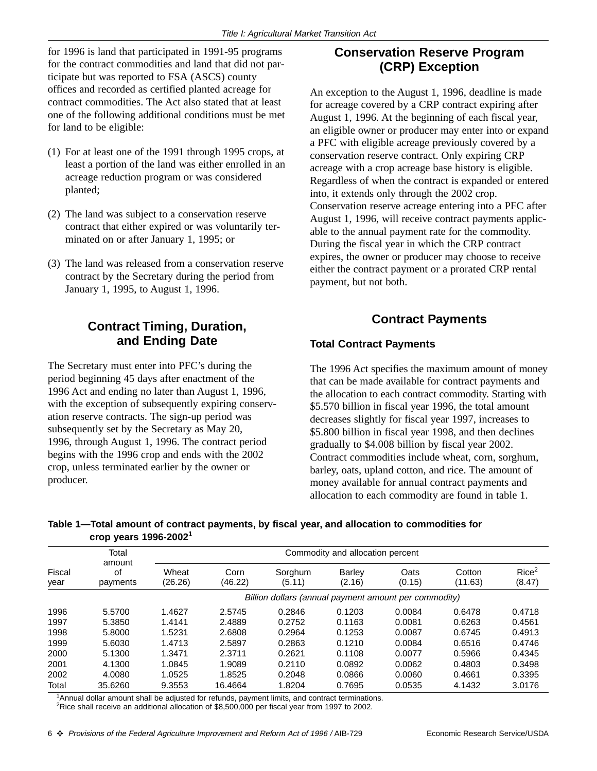for 1996 is land that participated in 1991-95 programs for the contract commodities and land that did not participate but was reported to FSA (ASCS) county offices and recorded as certified planted acreage for contract commodities. The Act also stated that at least one of the following additional conditions must be met for land to be eligible:

- (1) For at least one of the 1991 through 1995 crops, at least a portion of the land was either enrolled in an acreage reduction program or was considered planted;
- (2) The land was subject to a conservation reserve contract that either expired or was voluntarily terminated on or after January 1, 1995; or
- (3) The land was released from a conservation reserve contract by the Secretary during the period from January 1, 1995, to August 1, 1996.

## **Contract Timing, Duration, and Ending Date**

The Secretary must enter into PFC's during the period beginning 45 days after enactment of the 1996 Act and ending no later than August 1, 1996, with the exception of subsequently expiring conservation reserve contracts. The sign-up period was subsequently set by the Secretary as May 20, 1996, through August 1, 1996. The contract period begins with the 1996 crop and ends with the 2002 crop, unless terminated earlier by the owner or producer.

## **Conservation Reserve Program (CRP) Exception**

An exception to the August 1, 1996, deadline is made for acreage covered by a CRP contract expiring after August 1, 1996. At the beginning of each fiscal year, an eligible owner or producer may enter into or expand a PFC with eligible acreage previously covered by a conservation reserve contract. Only expiring CRP acreage with a crop acreage base history is eligible. Regardless of when the contract is expanded or entered into, it extends only through the 2002 crop. Conservation reserve acreage entering into a PFC after August 1, 1996, will receive contract payments applicable to the annual payment rate for the commodity. During the fiscal year in which the CRP contract expires, the owner or producer may choose to receive either the contract payment or a prorated CRP rental payment, but not both.

#### **Contract Payments**

#### **Total Contract Payments**

The 1996 Act specifies the maximum amount of money that can be made available for contract payments and the allocation to each contract commodity. Starting with \$5.570 billion in fiscal year 1996, the total amount decreases slightly for fiscal year 1997, increases to \$5.800 billion in fiscal year 1998, and then declines gradually to \$4.008 billion by fiscal year 2002. Contract commodities include wheat, corn, sorghum, barley, oats, upland cotton, and rice. The amount of money available for annual contract payments and allocation to each commodity are found in table 1.

|                           | Table 1—Total amount of contract payments, by fiscal year, and allocation to commodities for |  |
|---------------------------|----------------------------------------------------------------------------------------------|--|
| crop years $1996 - 20021$ |                                                                                              |  |

|                | Total<br>amount<br>0f<br>payments | Commodity and allocation percent |                 |                                                       |                         |                |                   |                             |
|----------------|-----------------------------------|----------------------------------|-----------------|-------------------------------------------------------|-------------------------|----------------|-------------------|-----------------------------|
| Fiscal<br>year |                                   | Wheat<br>(26.26)                 | Corn<br>(46.22) | Sorghum<br>(5.11)                                     | <b>Barley</b><br>(2.16) | Oats<br>(0.15) | Cotton<br>(11.63) | Rice <sup>2</sup><br>(8.47) |
|                |                                   |                                  |                 | Billion dollars (annual payment amount per commodity) |                         |                |                   |                             |
| 1996           | 5.5700                            | 1.4627                           | 2.5745          | 0.2846                                                | 0.1203                  | 0.0084         | 0.6478            | 0.4718                      |
| 1997           | 5.3850                            | 1.4141                           | 2.4889          | 0.2752                                                | 0.1163                  | 0.0081         | 0.6263            | 0.4561                      |
| 1998           | 5.8000                            | 1.5231                           | 2.6808          | 0.2964                                                | 0.1253                  | 0.0087         | 0.6745            | 0.4913                      |
| 1999           | 5.6030                            | 1.4713                           | 2.5897          | 0.2863                                                | 0.1210                  | 0.0084         | 0.6516            | 0.4746                      |
| 2000           | 5.1300                            | 1.3471                           | 2.3711          | 0.2621                                                | 0.1108                  | 0.0077         | 0.5966            | 0.4345                      |
| 2001           | 4.1300                            | 1.0845                           | 1.9089          | 0.2110                                                | 0.0892                  | 0.0062         | 0.4803            | 0.3498                      |
| 2002           | 4.0080                            | 1.0525                           | 1.8525          | 0.2048                                                | 0.0866                  | 0.0060         | 0.4661            | 0.3395                      |
| Total          | 35.6260                           | 9.3553                           | 16.4664         | 1.8204                                                | 0.7695                  | 0.0535         | 4.1432            | 3.0176                      |

<sup>1</sup>Annual dollar amount shall be adjusted for refunds, payment limits, and contract terminations.

<sup>2</sup>Rice shall receive an additional allocation of \$8,500,000 per fiscal year from 1997 to 2002.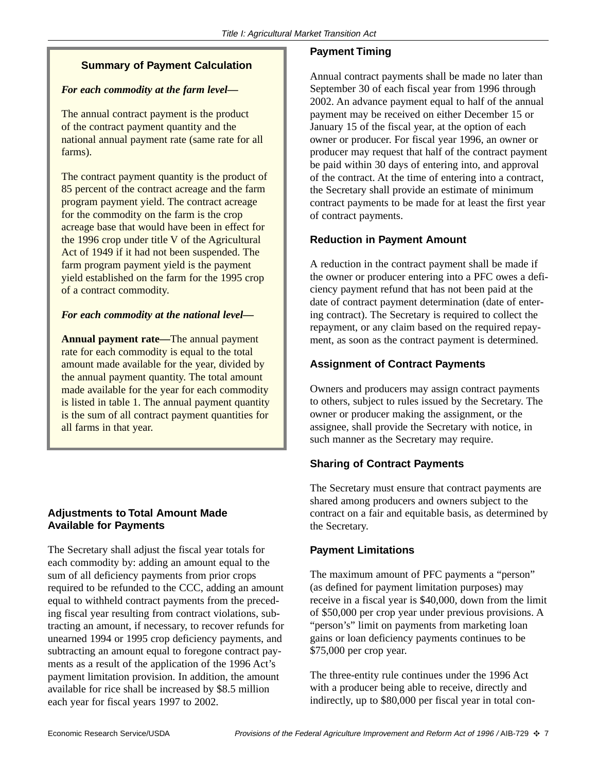#### **Summary of Payment Calculation**

#### *For each commodity at the farm level—*

The annual contract payment is the product of the contract payment quantity and the national annual payment rate (same rate for all farms).

The contract payment quantity is the product of 85 percent of the contract acreage and the farm program payment yield. The contract acreage for the commodity on the farm is the crop acreage base that would have been in effect for the 1996 crop under title V of the Agricultural Act of 1949 if it had not been suspended. The farm program payment yield is the payment yield established on the farm for the 1995 crop of a contract commodity.

#### *For each commodity at the national level—*

**Annual payment rate—**The annual payment rate for each commodity is equal to the total amount made available for the year, divided by the annual payment quantity. The total amount made available for the year for each commodity is listed in table 1. The annual payment quantity is the sum of all contract payment quantities for all farms in that year.

#### **Adjustments to Total Amount Made Available for Payments**

The Secretary shall adjust the fiscal year totals for each commodity by: adding an amount equal to the sum of all deficiency payments from prior crops required to be refunded to the CCC, adding an amount equal to withheld contract payments from the preceding fiscal year resulting from contract violations, subtracting an amount, if necessary, to recover refunds for unearned 1994 or 1995 crop deficiency payments, and subtracting an amount equal to foregone contract payments as a result of the application of the 1996 Act's payment limitation provision. In addition, the amount available for rice shall be increased by \$8.5 million each year for fiscal years 1997 to 2002.

#### **Payment Timing**

Annual contract payments shall be made no later than September 30 of each fiscal year from 1996 through 2002. An advance payment equal to half of the annual payment may be received on either December 15 or January 15 of the fiscal year, at the option of each owner or producer. For fiscal year 1996, an owner or producer may request that half of the contract payment be paid within 30 days of entering into, and approval of the contract. At the time of entering into a contract, the Secretary shall provide an estimate of minimum contract payments to be made for at least the first year of contract payments.

#### **Reduction in Payment Amount**

A reduction in the contract payment shall be made if the owner or producer entering into a PFC owes a deficiency payment refund that has not been paid at the date of contract payment determination (date of entering contract). The Secretary is required to collect the repayment, or any claim based on the required repayment, as soon as the contract payment is determined.

#### **Assignment of Contract Payments**

Owners and producers may assign contract payments to others, subject to rules issued by the Secretary. The owner or producer making the assignment, or the assignee, shall provide the Secretary with notice, in such manner as the Secretary may require.

#### **Sharing of Contract Payments**

The Secretary must ensure that contract payments are shared among producers and owners subject to the contract on a fair and equitable basis, as determined by the Secretary.

#### **Payment Limitations**

The maximum amount of PFC payments a "person" (as defined for payment limitation purposes) may receive in a fiscal year is \$40,000, down from the limit of \$50,000 per crop year under previous provisions. A "person's" limit on payments from marketing loan gains or loan deficiency payments continues to be \$75,000 per crop year.

The three-entity rule continues under the 1996 Act with a producer being able to receive, directly and indirectly, up to \$80,000 per fiscal year in total con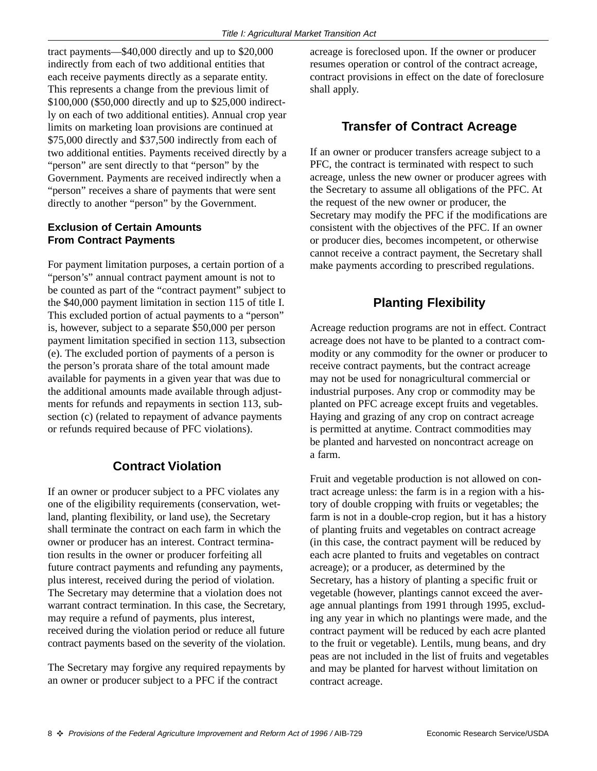tract payments—\$40,000 directly and up to \$20,000 indirectly from each of two additional entities that each receive payments directly as a separate entity. This represents a change from the previous limit of \$100,000 (\$50,000 directly and up to \$25,000 indirectly on each of two additional entities). Annual crop year limits on marketing loan provisions are continued at \$75,000 directly and \$37,500 indirectly from each of two additional entities. Payments received directly by a "person" are sent directly to that "person" by the Government. Payments are received indirectly when a "person" receives a share of payments that were sent directly to another "person" by the Government.

#### **Exclusion of Certain Amounts From Contract Payments**

For payment limitation purposes, a certain portion of a "person's" annual contract payment amount is not to be counted as part of the "contract payment" subject to the \$40,000 payment limitation in section 115 of title I. This excluded portion of actual payments to a "person" is, however, subject to a separate \$50,000 per person payment limitation specified in section 113, subsection (e). The excluded portion of payments of a person is the person's prorata share of the total amount made available for payments in a given year that was due to the additional amounts made available through adjustments for refunds and repayments in section 113, subsection (c) (related to repayment of advance payments or refunds required because of PFC violations).

## **Contract Violation**

If an owner or producer subject to a PFC violates any one of the eligibility requirements (conservation, wetland, planting flexibility, or land use), the Secretary shall terminate the contract on each farm in which the owner or producer has an interest. Contract termination results in the owner or producer forfeiting all future contract payments and refunding any payments, plus interest, received during the period of violation. The Secretary may determine that a violation does not warrant contract termination. In this case, the Secretary, may require a refund of payments, plus interest, received during the violation period or reduce all future contract payments based on the severity of the violation.

The Secretary may forgive any required repayments by an owner or producer subject to a PFC if the contract

acreage is foreclosed upon. If the owner or producer resumes operation or control of the contract acreage, contract provisions in effect on the date of foreclosure shall apply.

#### **Transfer of Contract Acreage**

If an owner or producer transfers acreage subject to a PFC, the contract is terminated with respect to such acreage, unless the new owner or producer agrees with the Secretary to assume all obligations of the PFC. At the request of the new owner or producer, the Secretary may modify the PFC if the modifications are consistent with the objectives of the PFC. If an owner or producer dies, becomes incompetent, or otherwise cannot receive a contract payment, the Secretary shall make payments according to prescribed regulations.

## **Planting Flexibility**

Acreage reduction programs are not in effect. Contract acreage does not have to be planted to a contract commodity or any commodity for the owner or producer to receive contract payments, but the contract acreage may not be used for nonagricultural commercial or industrial purposes. Any crop or commodity may be planted on PFC acreage except fruits and vegetables. Haying and grazing of any crop on contract acreage is permitted at anytime. Contract commodities may be planted and harvested on noncontract acreage on a farm.

Fruit and vegetable production is not allowed on contract acreage unless: the farm is in a region with a history of double cropping with fruits or vegetables; the farm is not in a double-crop region, but it has a history of planting fruits and vegetables on contract acreage (in this case, the contract payment will be reduced by each acre planted to fruits and vegetables on contract acreage); or a producer, as determined by the Secretary, has a history of planting a specific fruit or vegetable (however, plantings cannot exceed the average annual plantings from 1991 through 1995, excluding any year in which no plantings were made, and the contract payment will be reduced by each acre planted to the fruit or vegetable). Lentils, mung beans, and dry peas are not included in the list of fruits and vegetables and may be planted for harvest without limitation on contract acreage.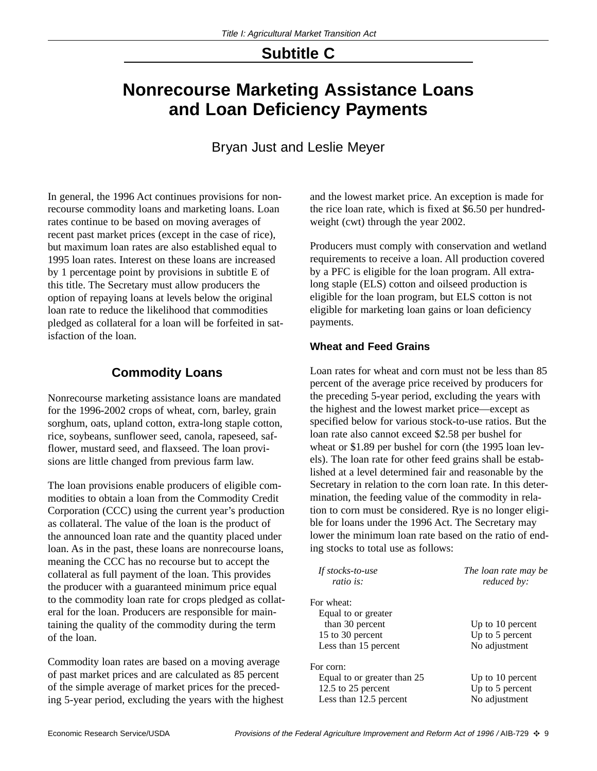## **Subtitle C**

## **Nonrecourse Marketing Assistance Loans and Loan Deficiency Payments**

## Bryan Just and Leslie Meyer

In general, the 1996 Act continues provisions for nonrecourse commodity loans and marketing loans. Loan rates continue to be based on moving averages of recent past market prices (except in the case of rice), but maximum loan rates are also established equal to 1995 loan rates. Interest on these loans are increased by 1 percentage point by provisions in subtitle E of this title. The Secretary must allow producers the option of repaying loans at levels below the original loan rate to reduce the likelihood that commodities pledged as collateral for a loan will be forfeited in satisfaction of the loan.

## **Commodity Loans**

Nonrecourse marketing assistance loans are mandated for the 1996-2002 crops of wheat, corn, barley, grain sorghum, oats, upland cotton, extra-long staple cotton, rice, soybeans, sunflower seed, canola, rapeseed, safflower, mustard seed, and flaxseed. The loan provisions are little changed from previous farm law.

The loan provisions enable producers of eligible commodities to obtain a loan from the Commodity Credit Corporation (CCC) using the current year's production as collateral. The value of the loan is the product of the announced loan rate and the quantity placed under loan. As in the past, these loans are nonrecourse loans, meaning the CCC has no recourse but to accept the collateral as full payment of the loan. This provides the producer with a guaranteed minimum price equal to the commodity loan rate for crops pledged as collateral for the loan. Producers are responsible for maintaining the quality of the commodity during the term of the loan.

Commodity loan rates are based on a moving average of past market prices and are calculated as 85 percent of the simple average of market prices for the preceding 5-year period, excluding the years with the highest and the lowest market price. An exception is made for the rice loan rate, which is fixed at \$6.50 per hundredweight (cwt) through the year 2002.

Producers must comply with conservation and wetland requirements to receive a loan. All production covered by a PFC is eligible for the loan program. All extralong staple (ELS) cotton and oilseed production is eligible for the loan program, but ELS cotton is not eligible for marketing loan gains or loan deficiency payments.

#### **Wheat and Feed Grains**

Loan rates for wheat and corn must not be less than 85 percent of the average price received by producers for the preceding 5-year period, excluding the years with the highest and the lowest market price—except as specified below for various stock-to-use ratios. But the loan rate also cannot exceed \$2.58 per bushel for wheat or \$1.89 per bushel for corn (the 1995 loan levels). The loan rate for other feed grains shall be established at a level determined fair and reasonable by the Secretary in relation to the corn loan rate. In this determination, the feeding value of the commodity in relation to corn must be considered. Rye is no longer eligible for loans under the 1996 Act. The Secretary may lower the minimum loan rate based on the ratio of ending stocks to total use as follows:

| If stocks-to-use<br>ratio is: | The loan rate may be<br>reduced by: |  |  |  |
|-------------------------------|-------------------------------------|--|--|--|
| For wheat:                    |                                     |  |  |  |
| Equal to or greater           |                                     |  |  |  |
| than 30 percent               | Up to 10 percent                    |  |  |  |
| 15 to 30 percent              | Up to 5 percent                     |  |  |  |
| Less than 15 percent          | No adjustment                       |  |  |  |
| For corn:                     |                                     |  |  |  |
| Equal to or greater than 25   | Up to $10$ percent                  |  |  |  |
| 12.5 to 25 percent            | Up to 5 percent                     |  |  |  |
| Less than 12.5 percent        | No adjustment                       |  |  |  |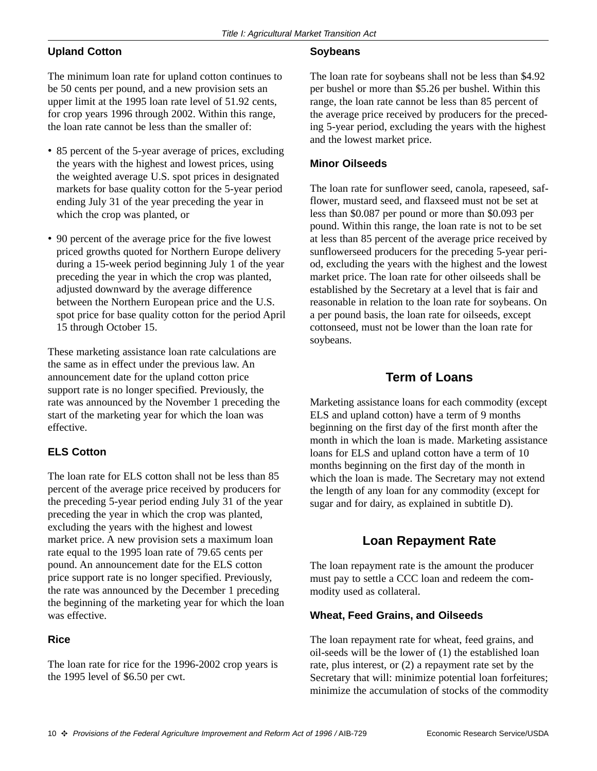#### **Upland Cotton**

The minimum loan rate for upland cotton continues to be 50 cents per pound, and a new provision sets an upper limit at the 1995 loan rate level of 51.92 cents, for crop years 1996 through 2002. Within this range, the loan rate cannot be less than the smaller of:

- 85 percent of the 5-year average of prices, excluding the years with the highest and lowest prices, using the weighted average U.S. spot prices in designated markets for base quality cotton for the 5-year period ending July 31 of the year preceding the year in which the crop was planted, or
- 90 percent of the average price for the five lowest priced growths quoted for Northern Europe delivery during a 15-week period beginning July 1 of the year preceding the year in which the crop was planted, adjusted downward by the average difference between the Northern European price and the U.S. spot price for base quality cotton for the period April 15 through October 15.

These marketing assistance loan rate calculations are the same as in effect under the previous law. An announcement date for the upland cotton price support rate is no longer specified. Previously, the rate was announced by the November 1 preceding the start of the marketing year for which the loan was effective.

#### **ELS Cotton**

The loan rate for ELS cotton shall not be less than 85 percent of the average price received by producers for the preceding 5-year period ending July 31 of the year preceding the year in which the crop was planted, excluding the years with the highest and lowest market price. A new provision sets a maximum loan rate equal to the 1995 loan rate of 79.65 cents per pound. An announcement date for the ELS cotton price support rate is no longer specified. Previously, the rate was announced by the December 1 preceding the beginning of the marketing year for which the loan was effective.

#### **Rice**

The loan rate for rice for the 1996-2002 crop years is the 1995 level of \$6.50 per cwt.

#### **Soybeans**

The loan rate for soybeans shall not be less than \$4.92 per bushel or more than \$5.26 per bushel. Within this range, the loan rate cannot be less than 85 percent of the average price received by producers for the preceding 5-year period, excluding the years with the highest and the lowest market price.

#### **Minor Oilseeds**

The loan rate for sunflower seed, canola, rapeseed, safflower, mustard seed, and flaxseed must not be set at less than \$0.087 per pound or more than \$0.093 per pound. Within this range, the loan rate is not to be set at less than 85 percent of the average price received by sunflowerseed producers for the preceding 5-year period, excluding the years with the highest and the lowest market price. The loan rate for other oilseeds shall be established by the Secretary at a level that is fair and reasonable in relation to the loan rate for soybeans. On a per pound basis, the loan rate for oilseeds, except cottonseed, must not be lower than the loan rate for soybeans.

### **Term of Loans**

Marketing assistance loans for each commodity (except ELS and upland cotton) have a term of 9 months beginning on the first day of the first month after the month in which the loan is made. Marketing assistance loans for ELS and upland cotton have a term of 10 months beginning on the first day of the month in which the loan is made. The Secretary may not extend the length of any loan for any commodity (except for sugar and for dairy, as explained in subtitle D).

## **Loan Repayment Rate**

The loan repayment rate is the amount the producer must pay to settle a CCC loan and redeem the commodity used as collateral.

#### **Wheat, Feed Grains, and Oilseeds**

The loan repayment rate for wheat, feed grains, and oil-seeds will be the lower of (1) the established loan rate, plus interest, or (2) a repayment rate set by the Secretary that will: minimize potential loan forfeitures; minimize the accumulation of stocks of the commodity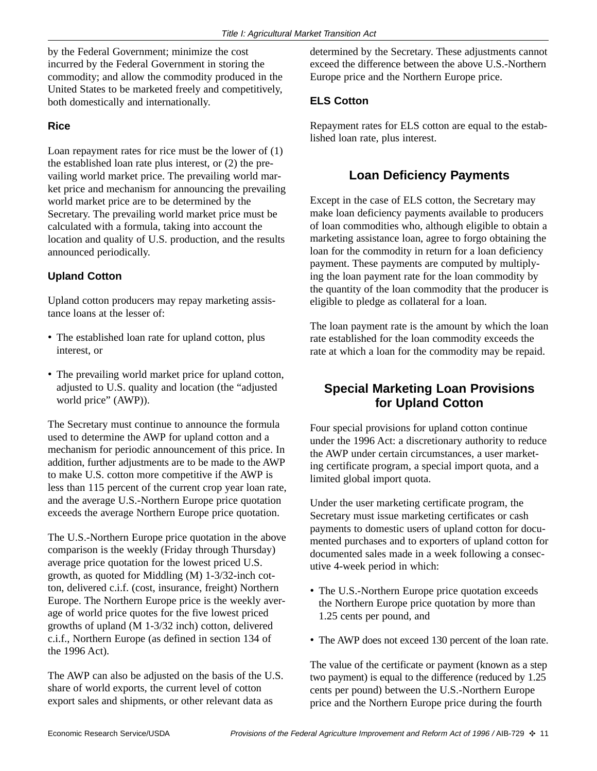by the Federal Government; minimize the cost incurred by the Federal Government in storing the commodity; and allow the commodity produced in the United States to be marketed freely and competitively, both domestically and internationally.

#### **Rice**

Loan repayment rates for rice must be the lower of (1) the established loan rate plus interest, or (2) the prevailing world market price. The prevailing world market price and mechanism for announcing the prevailing world market price are to be determined by the Secretary. The prevailing world market price must be calculated with a formula, taking into account the location and quality of U.S. production, and the results announced periodically.

#### **Upland Cotton**

Upland cotton producers may repay marketing assistance loans at the lesser of:

- The established loan rate for upland cotton, plus interest, or
- The prevailing world market price for upland cotton, adjusted to U.S. quality and location (the "adjusted world price" (AWP)).

The Secretary must continue to announce the formula used to determine the AWP for upland cotton and a mechanism for periodic announcement of this price. In addition, further adjustments are to be made to the AWP to make U.S. cotton more competitive if the AWP is less than 115 percent of the current crop year loan rate, and the average U.S.-Northern Europe price quotation exceeds the average Northern Europe price quotation.

The U.S.-Northern Europe price quotation in the above comparison is the weekly (Friday through Thursday) average price quotation for the lowest priced U.S. growth, as quoted for Middling (M) 1-3/32-inch cotton, delivered c.i.f. (cost, insurance, freight) Northern Europe. The Northern Europe price is the weekly average of world price quotes for the five lowest priced growths of upland (M 1-3/32 inch) cotton, delivered c.i.f., Northern Europe (as defined in section 134 of the 1996 Act).

The AWP can also be adjusted on the basis of the U.S. share of world exports, the current level of cotton export sales and shipments, or other relevant data as

determined by the Secretary. These adjustments cannot exceed the difference between the above U.S.-Northern Europe price and the Northern Europe price.

#### **ELS Cotton**

Repayment rates for ELS cotton are equal to the established loan rate, plus interest.

## **Loan Deficiency Payments**

Except in the case of ELS cotton, the Secretary may make loan deficiency payments available to producers of loan commodities who, although eligible to obtain a marketing assistance loan, agree to forgo obtaining the loan for the commodity in return for a loan deficiency payment. These payments are computed by multiplying the loan payment rate for the loan commodity by the quantity of the loan commodity that the producer is eligible to pledge as collateral for a loan.

The loan payment rate is the amount by which the loan rate established for the loan commodity exceeds the rate at which a loan for the commodity may be repaid.

## **Special Marketing Loan Provisions for Upland Cotton**

Four special provisions for upland cotton continue under the 1996 Act: a discretionary authority to reduce the AWP under certain circumstances, a user marketing certificate program, a special import quota, and a limited global import quota.

Under the user marketing certificate program, the Secretary must issue marketing certificates or cash payments to domestic users of upland cotton for documented purchases and to exporters of upland cotton for documented sales made in a week following a consecutive 4-week period in which:

- The U.S.-Northern Europe price quotation exceeds the Northern Europe price quotation by more than 1.25 cents per pound, and
- The AWP does not exceed 130 percent of the loan rate.

The value of the certificate or payment (known as a step two payment) is equal to the difference (reduced by 1.25 cents per pound) between the U.S.-Northern Europe price and the Northern Europe price during the fourth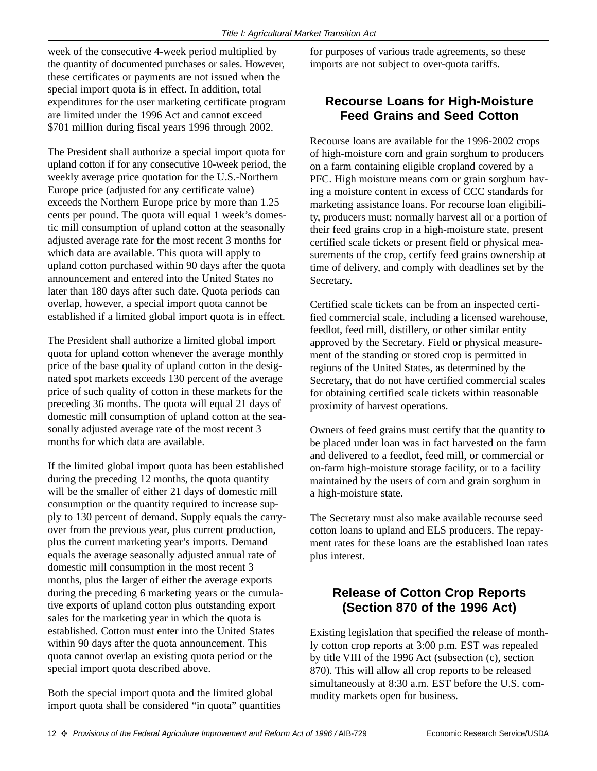week of the consecutive 4-week period multiplied by the quantity of documented purchases or sales. However, these certificates or payments are not issued when the special import quota is in effect. In addition, total expenditures for the user marketing certificate program are limited under the 1996 Act and cannot exceed \$701 million during fiscal years 1996 through 2002.

The President shall authorize a special import quota for upland cotton if for any consecutive 10-week period, the weekly average price quotation for the U.S.-Northern Europe price (adjusted for any certificate value) exceeds the Northern Europe price by more than 1.25 cents per pound. The quota will equal 1 week's domestic mill consumption of upland cotton at the seasonally adjusted average rate for the most recent 3 months for which data are available. This quota will apply to upland cotton purchased within 90 days after the quota announcement and entered into the United States no later than 180 days after such date. Quota periods can overlap, however, a special import quota cannot be established if a limited global import quota is in effect.

The President shall authorize a limited global import quota for upland cotton whenever the average monthly price of the base quality of upland cotton in the designated spot markets exceeds 130 percent of the average price of such quality of cotton in these markets for the preceding 36 months. The quota will equal 21 days of domestic mill consumption of upland cotton at the seasonally adjusted average rate of the most recent 3 months for which data are available.

If the limited global import quota has been established during the preceding 12 months, the quota quantity will be the smaller of either 21 days of domestic mill consumption or the quantity required to increase supply to 130 percent of demand. Supply equals the carryover from the previous year, plus current production, plus the current marketing year's imports. Demand equals the average seasonally adjusted annual rate of domestic mill consumption in the most recent 3 months, plus the larger of either the average exports during the preceding 6 marketing years or the cumulative exports of upland cotton plus outstanding export sales for the marketing year in which the quota is established. Cotton must enter into the United States within 90 days after the quota announcement. This quota cannot overlap an existing quota period or the special import quota described above.

Both the special import quota and the limited global import quota shall be considered "in quota" quantities for purposes of various trade agreements, so these imports are not subject to over-quota tariffs.

## **Recourse Loans for High-Moisture Feed Grains and Seed Cotton**

Recourse loans are available for the 1996-2002 crops of high-moisture corn and grain sorghum to producers on a farm containing eligible cropland covered by a PFC. High moisture means corn or grain sorghum having a moisture content in excess of CCC standards for marketing assistance loans. For recourse loan eligibility, producers must: normally harvest all or a portion of their feed grains crop in a high-moisture state, present certified scale tickets or present field or physical measurements of the crop, certify feed grains ownership at time of delivery, and comply with deadlines set by the Secretary.

Certified scale tickets can be from an inspected certified commercial scale, including a licensed warehouse, feedlot, feed mill, distillery, or other similar entity approved by the Secretary. Field or physical measurement of the standing or stored crop is permitted in regions of the United States, as determined by the Secretary, that do not have certified commercial scales for obtaining certified scale tickets within reasonable proximity of harvest operations.

Owners of feed grains must certify that the quantity to be placed under loan was in fact harvested on the farm and delivered to a feedlot, feed mill, or commercial or on-farm high-moisture storage facility, or to a facility maintained by the users of corn and grain sorghum in a high-moisture state.

The Secretary must also make available recourse seed cotton loans to upland and ELS producers. The repayment rates for these loans are the established loan rates plus interest.

## **Release of Cotton Crop Reports (Section 870 of the 1996 Act)**

Existing legislation that specified the release of monthly cotton crop reports at 3:00 p.m. EST was repealed by title VIII of the 1996 Act (subsection (c), section 870). This will allow all crop reports to be released simultaneously at 8:30 a.m. EST before the U.S. commodity markets open for business.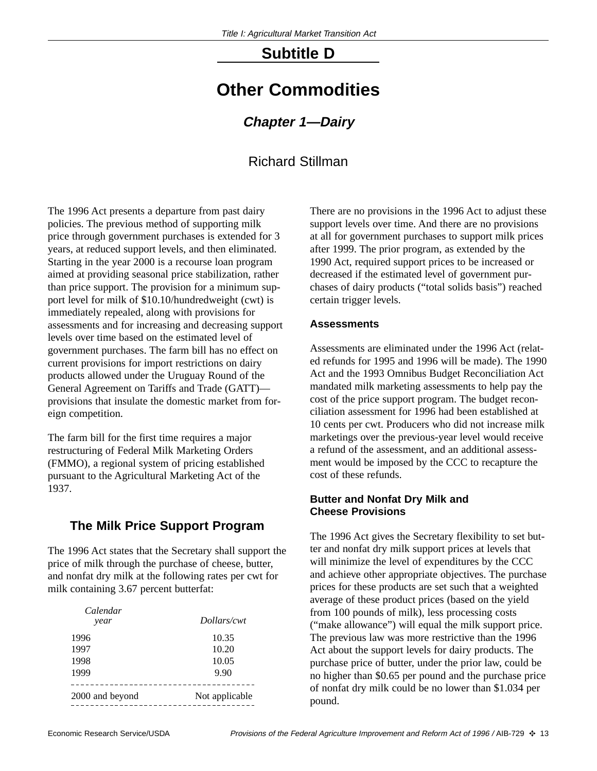## **Subtitle D**

## **Other Commodities**

#### **Chapter 1—Dairy**

### Richard Stillman

The 1996 Act presents a departure from past dairy policies. The previous method of supporting milk price through government purchases is extended for 3 years, at reduced support levels, and then eliminated. Starting in the year 2000 is a recourse loan program aimed at providing seasonal price stabilization, rather than price support. The provision for a minimum support level for milk of \$10.10/hundredweight (cwt) is immediately repealed, along with provisions for assessments and for increasing and decreasing support levels over time based on the estimated level of government purchases. The farm bill has no effect on current provisions for import restrictions on dairy products allowed under the Uruguay Round of the General Agreement on Tariffs and Trade (GATT) provisions that insulate the domestic market from foreign competition.

The farm bill for the first time requires a major restructuring of Federal Milk Marketing Orders (FMMO), a regional system of pricing established pursuant to the Agricultural Marketing Act of the 1937.

## **The Milk Price Support Program**

The 1996 Act states that the Secretary shall support the price of milk through the purchase of cheese, butter, and nonfat dry milk at the following rates per cwt for milk containing 3.67 percent butterfat:

| Calendar<br>year | Dollars/cwt    |
|------------------|----------------|
| 1996             | 10.35          |
| 1997             | 10.20          |
| 1998             | 10.05          |
| 1999             | 9.90           |
| 2000 and beyond  | Not applicable |

There are no provisions in the 1996 Act to adjust these support levels over time. And there are no provisions at all for government purchases to support milk prices after 1999. The prior program, as extended by the 1990 Act, required support prices to be increased or decreased if the estimated level of government purchases of dairy products ("total solids basis") reached certain trigger levels.

#### **Assessments**

Assessments are eliminated under the 1996 Act (related refunds for 1995 and 1996 will be made). The 1990 Act and the 1993 Omnibus Budget Reconciliation Act mandated milk marketing assessments to help pay the cost of the price support program. The budget reconciliation assessment for 1996 had been established at 10 cents per cwt. Producers who did not increase milk marketings over the previous-year level would receive a refund of the assessment, and an additional assessment would be imposed by the CCC to recapture the cost of these refunds.

#### **Butter and Nonfat Dry Milk and Cheese Provisions**

The 1996 Act gives the Secretary flexibility to set butter and nonfat dry milk support prices at levels that will minimize the level of expenditures by the CCC and achieve other appropriate objectives. The purchase prices for these products are set such that a weighted average of these product prices (based on the yield from 100 pounds of milk), less processing costs ("make allowance") will equal the milk support price. The previous law was more restrictive than the 1996 Act about the support levels for dairy products. The purchase price of butter, under the prior law, could be no higher than \$0.65 per pound and the purchase price of nonfat dry milk could be no lower than \$1.034 per pound.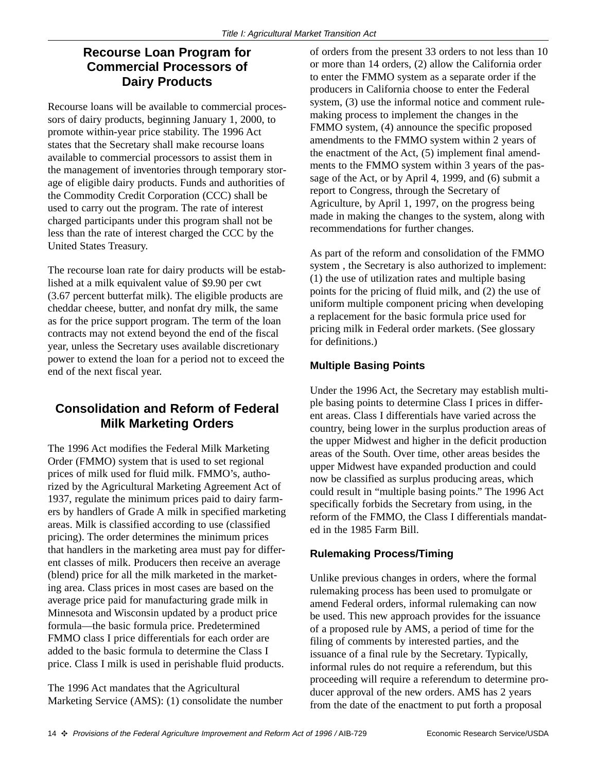## **Recourse Loan Program for Commercial Processors of Dairy Products**

Recourse loans will be available to commercial processors of dairy products, beginning January 1, 2000, to promote within-year price stability. The 1996 Act states that the Secretary shall make recourse loans available to commercial processors to assist them in the management of inventories through temporary storage of eligible dairy products. Funds and authorities of the Commodity Credit Corporation (CCC) shall be used to carry out the program. The rate of interest charged participants under this program shall not be less than the rate of interest charged the CCC by the United States Treasury.

The recourse loan rate for dairy products will be established at a milk equivalent value of \$9.90 per cwt (3.67 percent butterfat milk). The eligible products are cheddar cheese, butter, and nonfat dry milk, the same as for the price support program. The term of the loan contracts may not extend beyond the end of the fiscal year, unless the Secretary uses available discretionary power to extend the loan for a period not to exceed the end of the next fiscal year.

## **Consolidation and Reform of Federal Milk Marketing Orders**

The 1996 Act modifies the Federal Milk Marketing Order (FMMO) system that is used to set regional prices of milk used for fluid milk. FMMO's, authorized by the Agricultural Marketing Agreement Act of 1937, regulate the minimum prices paid to dairy farmers by handlers of Grade A milk in specified marketing areas. Milk is classified according to use (classified pricing). The order determines the minimum prices that handlers in the marketing area must pay for different classes of milk. Producers then receive an average (blend) price for all the milk marketed in the marketing area. Class prices in most cases are based on the average price paid for manufacturing grade milk in Minnesota and Wisconsin updated by a product price formula—the basic formula price. Predetermined FMMO class I price differentials for each order are added to the basic formula to determine the Class I price. Class I milk is used in perishable fluid products.

The 1996 Act mandates that the Agricultural Marketing Service (AMS): (1) consolidate the number

of orders from the present 33 orders to not less than 10 or more than 14 orders, (2) allow the California order to enter the FMMO system as a separate order if the producers in California choose to enter the Federal system, (3) use the informal notice and comment rulemaking process to implement the changes in the FMMO system, (4) announce the specific proposed amendments to the FMMO system within 2 years of the enactment of the Act, (5) implement final amendments to the FMMO system within 3 years of the passage of the Act, or by April 4, 1999, and (6) submit a report to Congress, through the Secretary of Agriculture, by April 1, 1997, on the progress being made in making the changes to the system, along with recommendations for further changes.

As part of the reform and consolidation of the FMMO system , the Secretary is also authorized to implement: (1) the use of utilization rates and multiple basing points for the pricing of fluid milk, and (2) the use of uniform multiple component pricing when developing a replacement for the basic formula price used for pricing milk in Federal order markets. (See glossary for definitions.)

#### **Multiple Basing Points**

Under the 1996 Act, the Secretary may establish multiple basing points to determine Class I prices in different areas. Class I differentials have varied across the country, being lower in the surplus production areas of the upper Midwest and higher in the deficit production areas of the South. Over time, other areas besides the upper Midwest have expanded production and could now be classified as surplus producing areas, which could result in "multiple basing points." The 1996 Act specifically forbids the Secretary from using, in the reform of the FMMO, the Class I differentials mandated in the 1985 Farm Bill.

#### **Rulemaking Process/Timing**

Unlike previous changes in orders, where the formal rulemaking process has been used to promulgate or amend Federal orders, informal rulemaking can now be used. This new approach provides for the issuance of a proposed rule by AMS, a period of time for the filing of comments by interested parties, and the issuance of a final rule by the Secretary. Typically, informal rules do not require a referendum, but this proceeding will require a referendum to determine producer approval of the new orders. AMS has 2 years from the date of the enactment to put forth a proposal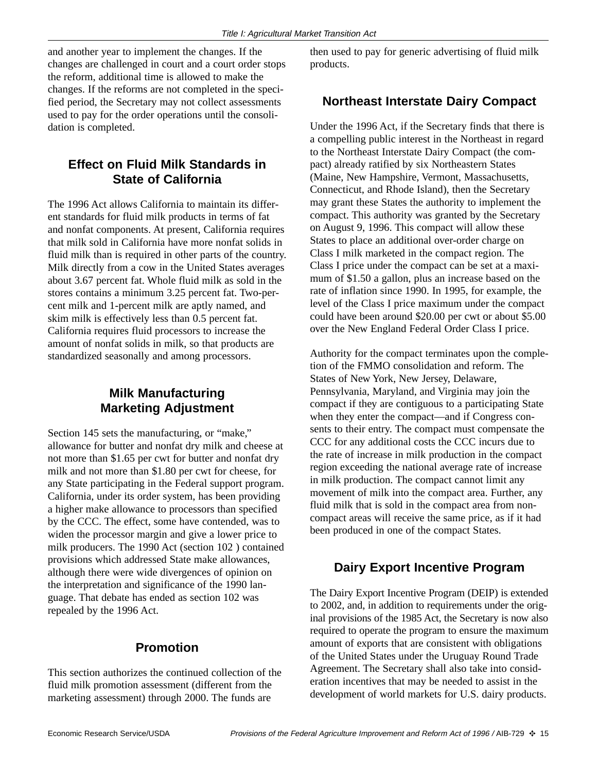and another year to implement the changes. If the changes are challenged in court and a court order stops the reform, additional time is allowed to make the changes. If the reforms are not completed in the specified period, the Secretary may not collect assessments used to pay for the order operations until the consolidation is completed.

### **Effect on Fluid Milk Standards in State of California**

The 1996 Act allows California to maintain its different standards for fluid milk products in terms of fat and nonfat components. At present, California requires that milk sold in California have more nonfat solids in fluid milk than is required in other parts of the country. Milk directly from a cow in the United States averages about 3.67 percent fat. Whole fluid milk as sold in the stores contains a minimum 3.25 percent fat. Two-percent milk and 1-percent milk are aptly named, and skim milk is effectively less than 0.5 percent fat. California requires fluid processors to increase the amount of nonfat solids in milk, so that products are standardized seasonally and among processors.

## **Milk Manufacturing Marketing Adjustment**

Section 145 sets the manufacturing, or "make," allowance for butter and nonfat dry milk and cheese at not more than \$1.65 per cwt for butter and nonfat dry milk and not more than \$1.80 per cwt for cheese, for any State participating in the Federal support program. California, under its order system, has been providing a higher make allowance to processors than specified by the CCC. The effect, some have contended, was to widen the processor margin and give a lower price to milk producers. The 1990 Act (section 102 ) contained provisions which addressed State make allowances, although there were wide divergences of opinion on the interpretation and significance of the 1990 language. That debate has ended as section 102 was repealed by the 1996 Act.

#### **Promotion**

This section authorizes the continued collection of the fluid milk promotion assessment (different from the marketing assessment) through 2000. The funds are

then used to pay for generic advertising of fluid milk products.

#### **Northeast Interstate Dairy Compact**

Under the 1996 Act, if the Secretary finds that there is a compelling public interest in the Northeast in regard to the Northeast Interstate Dairy Compact (the compact) already ratified by six Northeastern States (Maine, New Hampshire, Vermont, Massachusetts, Connecticut, and Rhode Island), then the Secretary may grant these States the authority to implement the compact. This authority was granted by the Secretary on August 9, 1996. This compact will allow these States to place an additional over-order charge on Class I milk marketed in the compact region. The Class I price under the compact can be set at a maximum of \$1.50 a gallon, plus an increase based on the rate of inflation since 1990. In 1995, for example, the level of the Class I price maximum under the compact could have been around \$20.00 per cwt or about \$5.00 over the New England Federal Order Class I price.

Authority for the compact terminates upon the completion of the FMMO consolidation and reform. The States of New York, New Jersey, Delaware, Pennsylvania, Maryland, and Virginia may join the compact if they are contiguous to a participating State when they enter the compact—and if Congress consents to their entry. The compact must compensate the CCC for any additional costs the CCC incurs due to the rate of increase in milk production in the compact region exceeding the national average rate of increase in milk production. The compact cannot limit any movement of milk into the compact area. Further, any fluid milk that is sold in the compact area from noncompact areas will receive the same price, as if it had been produced in one of the compact States.

#### **Dairy Export Incentive Program**

The Dairy Export Incentive Program (DEIP) is extended to 2002, and, in addition to requirements under the original provisions of the 1985 Act, the Secretary is now also required to operate the program to ensure the maximum amount of exports that are consistent with obligations of the United States under the Uruguay Round Trade Agreement. The Secretary shall also take into consideration incentives that may be needed to assist in the development of world markets for U.S. dairy products.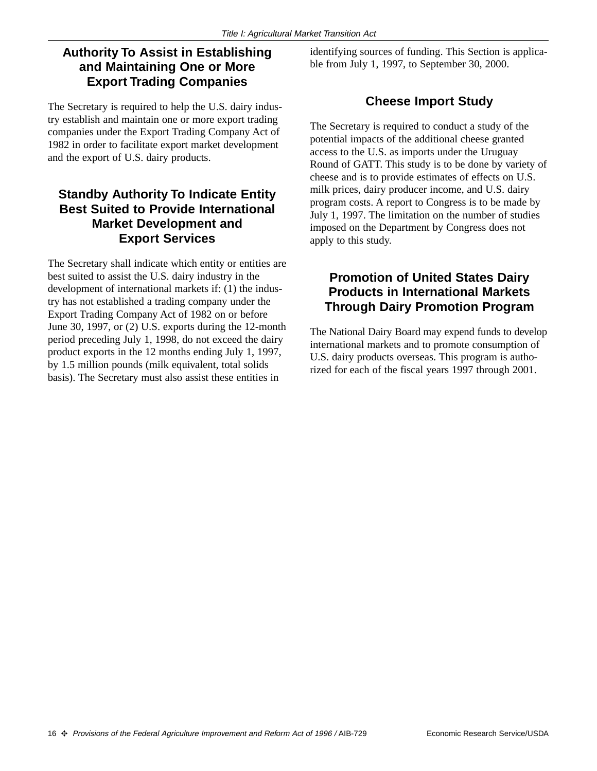### **Authority To Assist in Establishing and Maintaining One or More Export Trading Companies**

The Secretary is required to help the U.S. dairy industry establish and maintain one or more export trading companies under the Export Trading Company Act of 1982 in order to facilitate export market development and the export of U.S. dairy products.

#### **Standby Authority To Indicate Entity Best Suited to Provide International Market Development and Export Services**

The Secretary shall indicate which entity or entities are best suited to assist the U.S. dairy industry in the development of international markets if: (1) the industry has not established a trading company under the Export Trading Company Act of 1982 on or before June 30, 1997, or (2) U.S. exports during the 12-month period preceding July 1, 1998, do not exceed the dairy product exports in the 12 months ending July 1, 1997, by 1.5 million pounds (milk equivalent, total solids basis). The Secretary must also assist these entities in

identifying sources of funding. This Section is applicable from July 1, 1997, to September 30, 2000.

## **Cheese Import Study**

The Secretary is required to conduct a study of the potential impacts of the additional cheese granted access to the U.S. as imports under the Uruguay Round of GATT. This study is to be done by variety of cheese and is to provide estimates of effects on U.S. milk prices, dairy producer income, and U.S. dairy program costs. A report to Congress is to be made by July 1, 1997. The limitation on the number of studies imposed on the Department by Congress does not apply to this study.

### **Promotion of United States Dairy Products in International Markets Through Dairy Promotion Program**

The National Dairy Board may expend funds to develop international markets and to promote consumption of U.S. dairy products overseas. This program is authorized for each of the fiscal years 1997 through 2001.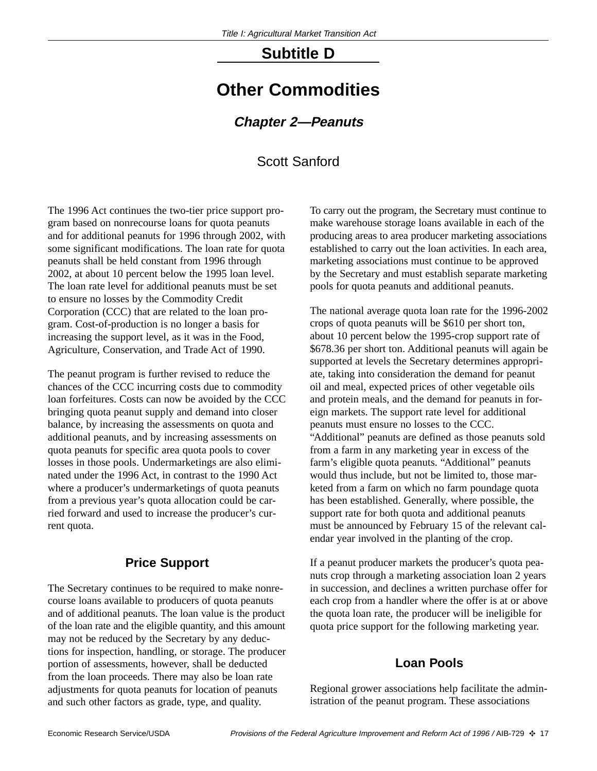## **Subtitle D**

## **Other Commodities**

#### **Chapter 2—Peanuts**

## Scott Sanford

The 1996 Act continues the two-tier price support program based on nonrecourse loans for quota peanuts and for additional peanuts for 1996 through 2002, with some significant modifications. The loan rate for quota peanuts shall be held constant from 1996 through 2002, at about 10 percent below the 1995 loan level. The loan rate level for additional peanuts must be set to ensure no losses by the Commodity Credit Corporation (CCC) that are related to the loan program. Cost-of-production is no longer a basis for increasing the support level, as it was in the Food, Agriculture, Conservation, and Trade Act of 1990.

The peanut program is further revised to reduce the chances of the CCC incurring costs due to commodity loan forfeitures. Costs can now be avoided by the CCC bringing quota peanut supply and demand into closer balance, by increasing the assessments on quota and additional peanuts, and by increasing assessments on quota peanuts for specific area quota pools to cover losses in those pools. Undermarketings are also eliminated under the 1996 Act, in contrast to the 1990 Act where a producer's undermarketings of quota peanuts from a previous year's quota allocation could be carried forward and used to increase the producer's current quota.

#### **Price Support**

The Secretary continues to be required to make nonrecourse loans available to producers of quota peanuts and of additional peanuts. The loan value is the product of the loan rate and the eligible quantity, and this amount may not be reduced by the Secretary by any deductions for inspection, handling, or storage. The producer portion of assessments, however, shall be deducted from the loan proceeds. There may also be loan rate adjustments for quota peanuts for location of peanuts and such other factors as grade, type, and quality.

To carry out the program, the Secretary must continue to make warehouse storage loans available in each of the producing areas to area producer marketing associations established to carry out the loan activities. In each area, marketing associations must continue to be approved by the Secretary and must establish separate marketing pools for quota peanuts and additional peanuts.

The national average quota loan rate for the 1996-2002 crops of quota peanuts will be \$610 per short ton, about 10 percent below the 1995-crop support rate of \$678.36 per short ton. Additional peanuts will again be supported at levels the Secretary determines appropriate, taking into consideration the demand for peanut oil and meal, expected prices of other vegetable oils and protein meals, and the demand for peanuts in foreign markets. The support rate level for additional peanuts must ensure no losses to the CCC. "Additional" peanuts are defined as those peanuts sold from a farm in any marketing year in excess of the farm's eligible quota peanuts. "Additional" peanuts would thus include, but not be limited to, those marketed from a farm on which no farm poundage quota has been established. Generally, where possible, the support rate for both quota and additional peanuts must be announced by February 15 of the relevant calendar year involved in the planting of the crop.

If a peanut producer markets the producer's quota peanuts crop through a marketing association loan 2 years in succession, and declines a written purchase offer for each crop from a handler where the offer is at or above the quota loan rate, the producer will be ineligible for quota price support for the following marketing year.

#### **Loan Pools**

Regional grower associations help facilitate the administration of the peanut program. These associations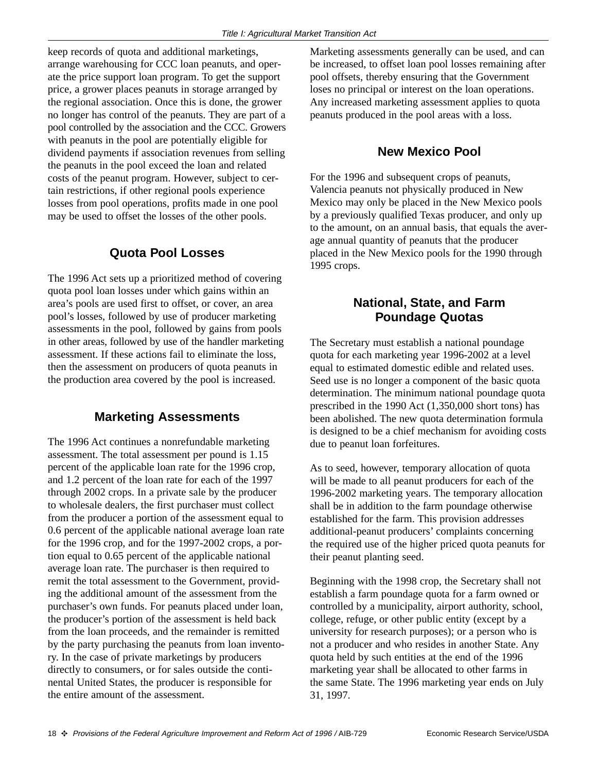keep records of quota and additional marketings, arrange warehousing for CCC loan peanuts, and operate the price support loan program. To get the support price, a grower places peanuts in storage arranged by the regional association. Once this is done, the grower no longer has control of the peanuts. They are part of a pool controlled by the association and the CCC. Growers with peanuts in the pool are potentially eligible for dividend payments if association revenues from selling the peanuts in the pool exceed the loan and related costs of the peanut program. However, subject to certain restrictions, if other regional pools experience losses from pool operations, profits made in one pool may be used to offset the losses of the other pools.

## **Quota Pool Losses**

The 1996 Act sets up a prioritized method of covering quota pool loan losses under which gains within an area's pools are used first to offset, or cover, an area pool's losses, followed by use of producer marketing assessments in the pool, followed by gains from pools in other areas, followed by use of the handler marketing assessment. If these actions fail to eliminate the loss, then the assessment on producers of quota peanuts in the production area covered by the pool is increased.

## **Marketing Assessments**

The 1996 Act continues a nonrefundable marketing assessment. The total assessment per pound is 1.15 percent of the applicable loan rate for the 1996 crop, and 1.2 percent of the loan rate for each of the 1997 through 2002 crops. In a private sale by the producer to wholesale dealers, the first purchaser must collect from the producer a portion of the assessment equal to 0.6 percent of the applicable national average loan rate for the 1996 crop, and for the 1997-2002 crops, a portion equal to 0.65 percent of the applicable national average loan rate. The purchaser is then required to remit the total assessment to the Government, providing the additional amount of the assessment from the purchaser's own funds. For peanuts placed under loan, the producer's portion of the assessment is held back from the loan proceeds, and the remainder is remitted by the party purchasing the peanuts from loan inventory. In the case of private marketings by producers directly to consumers, or for sales outside the continental United States, the producer is responsible for the entire amount of the assessment.

Marketing assessments generally can be used, and can be increased, to offset loan pool losses remaining after pool offsets, thereby ensuring that the Government loses no principal or interest on the loan operations. Any increased marketing assessment applies to quota peanuts produced in the pool areas with a loss.

## **New Mexico Pool**

For the 1996 and subsequent crops of peanuts, Valencia peanuts not physically produced in New Mexico may only be placed in the New Mexico pools by a previously qualified Texas producer, and only up to the amount, on an annual basis, that equals the average annual quantity of peanuts that the producer placed in the New Mexico pools for the 1990 through 1995 crops.

### **National, State, and Farm Poundage Quotas**

The Secretary must establish a national poundage quota for each marketing year 1996-2002 at a level equal to estimated domestic edible and related uses. Seed use is no longer a component of the basic quota determination. The minimum national poundage quota prescribed in the 1990 Act (1,350,000 short tons) has been abolished. The new quota determination formula is designed to be a chief mechanism for avoiding costs due to peanut loan forfeitures.

As to seed, however, temporary allocation of quota will be made to all peanut producers for each of the 1996-2002 marketing years. The temporary allocation shall be in addition to the farm poundage otherwise established for the farm. This provision addresses additional-peanut producers' complaints concerning the required use of the higher priced quota peanuts for their peanut planting seed.

Beginning with the 1998 crop, the Secretary shall not establish a farm poundage quota for a farm owned or controlled by a municipality, airport authority, school, college, refuge, or other public entity (except by a university for research purposes); or a person who is not a producer and who resides in another State. Any quota held by such entities at the end of the 1996 marketing year shall be allocated to other farms in the same State. The 1996 marketing year ends on July 31, 1997.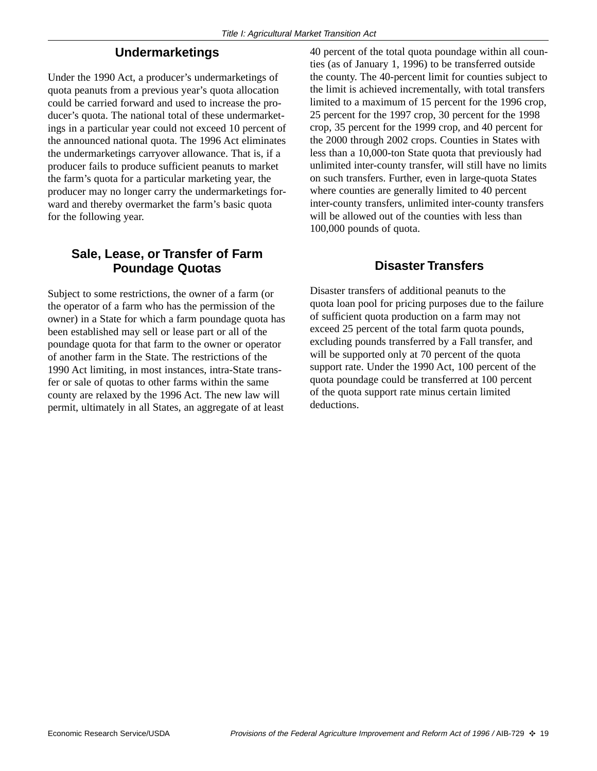#### **Undermarketings**

Under the 1990 Act, a producer's undermarketings of quota peanuts from a previous year's quota allocation could be carried forward and used to increase the producer's quota. The national total of these undermarketings in a particular year could not exceed 10 percent of the announced national quota. The 1996 Act eliminates the undermarketings carryover allowance. That is, if a producer fails to produce sufficient peanuts to market the farm's quota for a particular marketing year, the producer may no longer carry the undermarketings forward and thereby overmarket the farm's basic quota for the following year.

#### **Sale, Lease, or Transfer of Farm Poundage Quotas**

Subject to some restrictions, the owner of a farm (or the operator of a farm who has the permission of the owner) in a State for which a farm poundage quota has been established may sell or lease part or all of the poundage quota for that farm to the owner or operator of another farm in the State. The restrictions of the 1990 Act limiting, in most instances, intra-State transfer or sale of quotas to other farms within the same county are relaxed by the 1996 Act. The new law will permit, ultimately in all States, an aggregate of at least

40 percent of the total quota poundage within all counties (as of January 1, 1996) to be transferred outside the county. The 40-percent limit for counties subject to the limit is achieved incrementally, with total transfers limited to a maximum of 15 percent for the 1996 crop, 25 percent for the 1997 crop, 30 percent for the 1998 crop, 35 percent for the 1999 crop, and 40 percent for the 2000 through 2002 crops. Counties in States with less than a 10,000-ton State quota that previously had unlimited inter-county transfer, will still have no limits on such transfers. Further, even in large-quota States where counties are generally limited to 40 percent inter-county transfers, unlimited inter-county transfers will be allowed out of the counties with less than 100,000 pounds of quota.

#### **Disaster Transfers**

Disaster transfers of additional peanuts to the quota loan pool for pricing purposes due to the failure of sufficient quota production on a farm may not exceed 25 percent of the total farm quota pounds, excluding pounds transferred by a Fall transfer, and will be supported only at 70 percent of the quota support rate. Under the 1990 Act, 100 percent of the quota poundage could be transferred at 100 percent of the quota support rate minus certain limited deductions.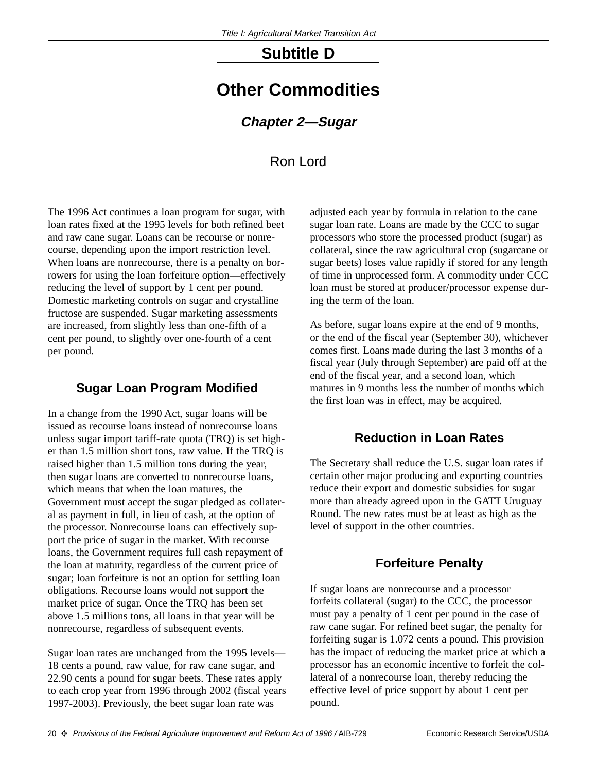## **Subtitle D**

## **Other Commodities**

#### **Chapter 2—Sugar**

## Ron Lord

The 1996 Act continues a loan program for sugar, with loan rates fixed at the 1995 levels for both refined beet and raw cane sugar. Loans can be recourse or nonrecourse, depending upon the import restriction level. When loans are nonrecourse, there is a penalty on borrowers for using the loan forfeiture option—effectively reducing the level of support by 1 cent per pound. Domestic marketing controls on sugar and crystalline fructose are suspended. Sugar marketing assessments are increased, from slightly less than one-fifth of a cent per pound, to slightly over one-fourth of a cent per pound.

#### **Sugar Loan Program Modified**

In a change from the 1990 Act, sugar loans will be issued as recourse loans instead of nonrecourse loans unless sugar import tariff-rate quota (TRQ) is set higher than 1.5 million short tons, raw value. If the TRQ is raised higher than 1.5 million tons during the year, then sugar loans are converted to nonrecourse loans, which means that when the loan matures, the Government must accept the sugar pledged as collateral as payment in full, in lieu of cash, at the option of the processor. Nonrecourse loans can effectively support the price of sugar in the market. With recourse loans, the Government requires full cash repayment of the loan at maturity, regardless of the current price of sugar; loan forfeiture is not an option for settling loan obligations. Recourse loans would not support the market price of sugar. Once the TRQ has been set above 1.5 millions tons, all loans in that year will be nonrecourse, regardless of subsequent events.

Sugar loan rates are unchanged from the 1995 levels— 18 cents a pound, raw value, for raw cane sugar, and 22.90 cents a pound for sugar beets. These rates apply to each crop year from 1996 through 2002 (fiscal years 1997-2003). Previously, the beet sugar loan rate was

adjusted each year by formula in relation to the cane sugar loan rate. Loans are made by the CCC to sugar processors who store the processed product (sugar) as collateral, since the raw agricultural crop (sugarcane or sugar beets) loses value rapidly if stored for any length of time in unprocessed form. A commodity under CCC loan must be stored at producer/processor expense during the term of the loan.

As before, sugar loans expire at the end of 9 months, or the end of the fiscal year (September 30), whichever comes first. Loans made during the last 3 months of a fiscal year (July through September) are paid off at the end of the fiscal year, and a second loan, which matures in 9 months less the number of months which the first loan was in effect, may be acquired.

#### **Reduction in Loan Rates**

The Secretary shall reduce the U.S. sugar loan rates if certain other major producing and exporting countries reduce their export and domestic subsidies for sugar more than already agreed upon in the GATT Uruguay Round. The new rates must be at least as high as the level of support in the other countries.

#### **Forfeiture Penalty**

If sugar loans are nonrecourse and a processor forfeits collateral (sugar) to the CCC, the processor must pay a penalty of 1 cent per pound in the case of raw cane sugar. For refined beet sugar, the penalty for forfeiting sugar is 1.072 cents a pound. This provision has the impact of reducing the market price at which a processor has an economic incentive to forfeit the collateral of a nonrecourse loan, thereby reducing the effective level of price support by about 1 cent per pound.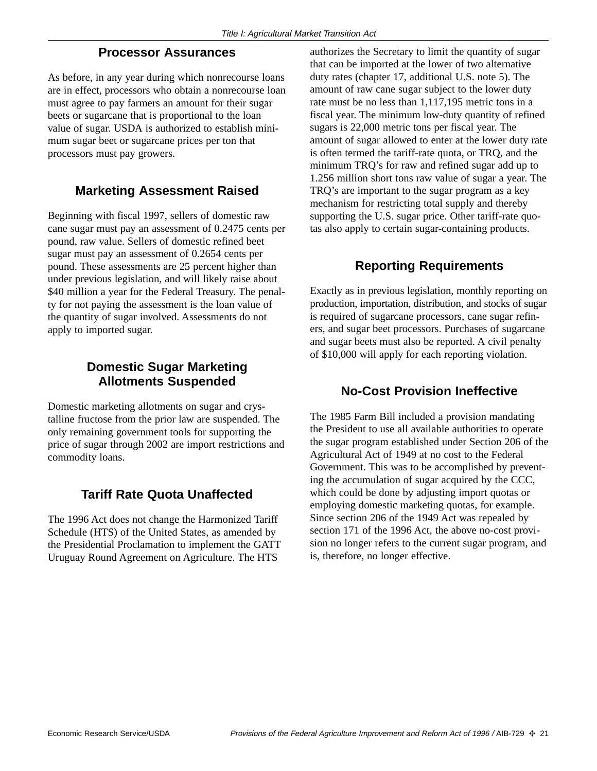#### **Processor Assurances**

As before, in any year during which nonrecourse loans are in effect, processors who obtain a nonrecourse loan must agree to pay farmers an amount for their sugar beets or sugarcane that is proportional to the loan value of sugar. USDA is authorized to establish minimum sugar beet or sugarcane prices per ton that processors must pay growers.

#### **Marketing Assessment Raised**

Beginning with fiscal 1997, sellers of domestic raw cane sugar must pay an assessment of 0.2475 cents per pound, raw value. Sellers of domestic refined beet sugar must pay an assessment of 0.2654 cents per pound. These assessments are 25 percent higher than under previous legislation, and will likely raise about \$40 million a year for the Federal Treasury. The penalty for not paying the assessment is the loan value of the quantity of sugar involved. Assessments do not apply to imported sugar.

#### **Domestic Sugar Marketing Allotments Suspended**

Domestic marketing allotments on sugar and crystalline fructose from the prior law are suspended. The only remaining government tools for supporting the price of sugar through 2002 are import restrictions and commodity loans.

## **Tariff Rate Quota Unaffected**

The 1996 Act does not change the Harmonized Tariff Schedule (HTS) of the United States, as amended by the Presidential Proclamation to implement the GATT Uruguay Round Agreement on Agriculture. The HTS

authorizes the Secretary to limit the quantity of sugar that can be imported at the lower of two alternative duty rates (chapter 17, additional U.S. note 5). The amount of raw cane sugar subject to the lower duty rate must be no less than 1,117,195 metric tons in a fiscal year. The minimum low-duty quantity of refined sugars is 22,000 metric tons per fiscal year. The amount of sugar allowed to enter at the lower duty rate is often termed the tariff-rate quota, or TRQ, and the minimum TRQ's for raw and refined sugar add up to 1.256 million short tons raw value of sugar a year. The TRQ's are important to the sugar program as a key mechanism for restricting total supply and thereby supporting the U.S. sugar price. Other tariff-rate quotas also apply to certain sugar-containing products.

## **Reporting Requirements**

Exactly as in previous legislation, monthly reporting on production, importation, distribution, and stocks of sugar is required of sugarcane processors, cane sugar refiners, and sugar beet processors. Purchases of sugarcane and sugar beets must also be reported. A civil penalty of \$10,000 will apply for each reporting violation.

## **No-Cost Provision Ineffective**

The 1985 Farm Bill included a provision mandating the President to use all available authorities to operate the sugar program established under Section 206 of the Agricultural Act of 1949 at no cost to the Federal Government. This was to be accomplished by preventing the accumulation of sugar acquired by the CCC, which could be done by adjusting import quotas or employing domestic marketing quotas, for example. Since section 206 of the 1949 Act was repealed by section 171 of the 1996 Act, the above no-cost provision no longer refers to the current sugar program, and is, therefore, no longer effective.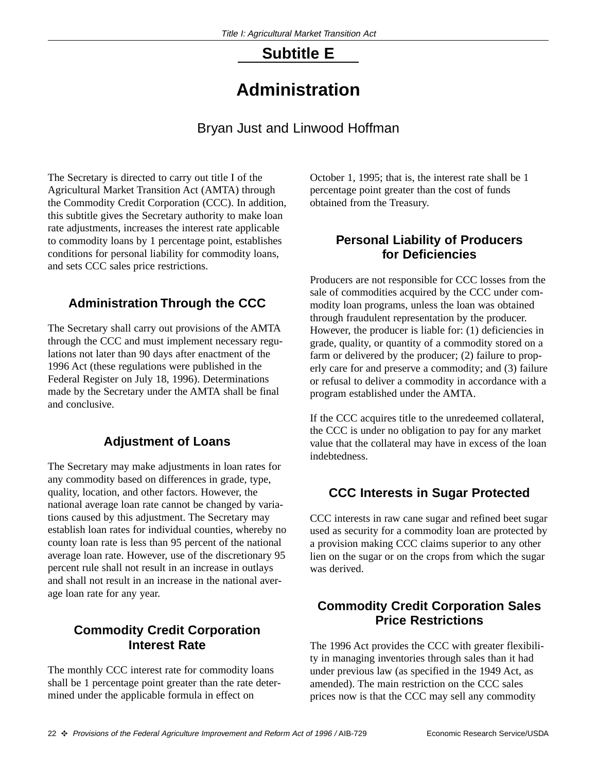## **Subtitle E**

## **Administration**

Bryan Just and Linwood Hoffman

The Secretary is directed to carry out title I of the Agricultural Market Transition Act (AMTA) through the Commodity Credit Corporation (CCC). In addition, this subtitle gives the Secretary authority to make loan rate adjustments, increases the interest rate applicable to commodity loans by 1 percentage point, establishes conditions for personal liability for commodity loans, and sets CCC sales price restrictions.

## **Administration Through the CCC**

The Secretary shall carry out provisions of the AMTA through the CCC and must implement necessary regulations not later than 90 days after enactment of the 1996 Act (these regulations were published in the Federal Register on July 18, 1996). Determinations made by the Secretary under the AMTA shall be final and conclusive.

## **Adjustment of Loans**

The Secretary may make adjustments in loan rates for any commodity based on differences in grade, type, quality, location, and other factors. However, the national average loan rate cannot be changed by variations caused by this adjustment. The Secretary may establish loan rates for individual counties, whereby no county loan rate is less than 95 percent of the national average loan rate. However, use of the discretionary 95 percent rule shall not result in an increase in outlays and shall not result in an increase in the national average loan rate for any year.

## **Commodity Credit Corporation Interest Rate**

The monthly CCC interest rate for commodity loans shall be 1 percentage point greater than the rate determined under the applicable formula in effect on

October 1, 1995; that is, the interest rate shall be 1 percentage point greater than the cost of funds obtained from the Treasury.

#### **Personal Liability of Producers for Deficiencies**

Producers are not responsible for CCC losses from the sale of commodities acquired by the CCC under commodity loan programs, unless the loan was obtained through fraudulent representation by the producer. However, the producer is liable for: (1) deficiencies in grade, quality, or quantity of a commodity stored on a farm or delivered by the producer; (2) failure to properly care for and preserve a commodity; and (3) failure or refusal to deliver a commodity in accordance with a program established under the AMTA.

If the CCC acquires title to the unredeemed collateral, the CCC is under no obligation to pay for any market value that the collateral may have in excess of the loan indebtedness.

## **CCC Interests in Sugar Protected**

CCC interests in raw cane sugar and refined beet sugar used as security for a commodity loan are protected by a provision making CCC claims superior to any other lien on the sugar or on the crops from which the sugar was derived.

## **Commodity Credit Corporation Sales Price Restrictions**

The 1996 Act provides the CCC with greater flexibility in managing inventories through sales than it had under previous law (as specified in the 1949 Act, as amended). The main restriction on the CCC sales prices now is that the CCC may sell any commodity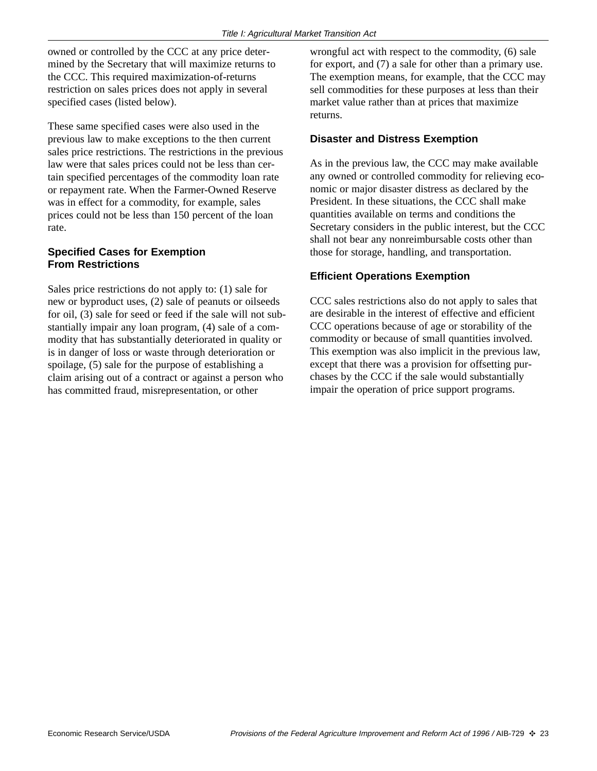owned or controlled by the CCC at any price determined by the Secretary that will maximize returns to the CCC. This required maximization-of-returns restriction on sales prices does not apply in several specified cases (listed below).

These same specified cases were also used in the previous law to make exceptions to the then current sales price restrictions. The restrictions in the previous law were that sales prices could not be less than certain specified percentages of the commodity loan rate or repayment rate. When the Farmer-Owned Reserve was in effect for a commodity, for example, sales prices could not be less than 150 percent of the loan rate.

#### **Specified Cases for Exemption From Restrictions**

Sales price restrictions do not apply to: (1) sale for new or byproduct uses, (2) sale of peanuts or oilseeds for oil, (3) sale for seed or feed if the sale will not substantially impair any loan program, (4) sale of a commodity that has substantially deteriorated in quality or is in danger of loss or waste through deterioration or spoilage, (5) sale for the purpose of establishing a claim arising out of a contract or against a person who has committed fraud, misrepresentation, or other

wrongful act with respect to the commodity, (6) sale for export, and (7) a sale for other than a primary use. The exemption means, for example, that the CCC may sell commodities for these purposes at less than their market value rather than at prices that maximize returns.

#### **Disaster and Distress Exemption**

As in the previous law, the CCC may make available any owned or controlled commodity for relieving economic or major disaster distress as declared by the President. In these situations, the CCC shall make quantities available on terms and conditions the Secretary considers in the public interest, but the CCC shall not bear any nonreimbursable costs other than those for storage, handling, and transportation.

#### **Efficient Operations Exemption**

CCC sales restrictions also do not apply to sales that are desirable in the interest of effective and efficient CCC operations because of age or storability of the commodity or because of small quantities involved. This exemption was also implicit in the previous law, except that there was a provision for offsetting purchases by the CCC if the sale would substantially impair the operation of price support programs.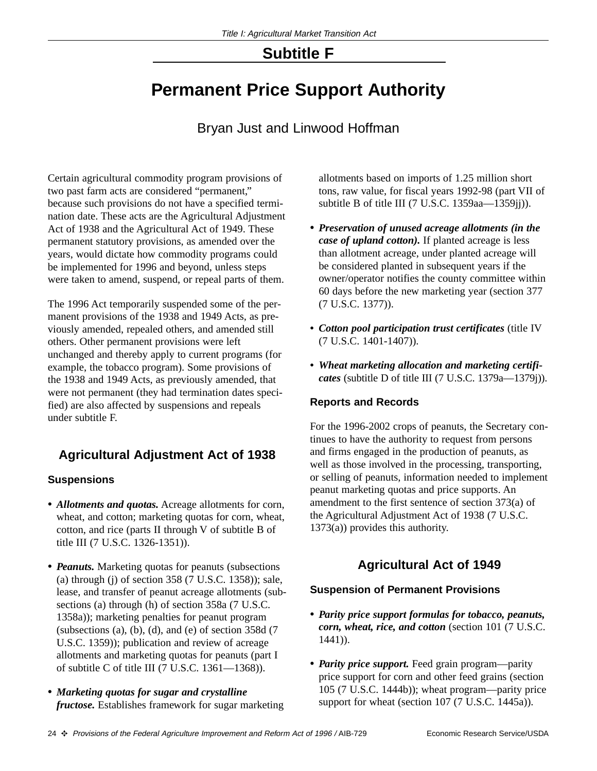## **Subtitle F**

## **Permanent Price Support Authority**

## Bryan Just and Linwood Hoffman

Certain agricultural commodity program provisions of two past farm acts are considered "permanent," because such provisions do not have a specified termination date. These acts are the Agricultural Adjustment Act of 1938 and the Agricultural Act of 1949. These permanent statutory provisions, as amended over the years, would dictate how commodity programs could be implemented for 1996 and beyond, unless steps were taken to amend, suspend, or repeal parts of them.

The 1996 Act temporarily suspended some of the permanent provisions of the 1938 and 1949 Acts, as previously amended, repealed others, and amended still others. Other permanent provisions were left unchanged and thereby apply to current programs (for example, the tobacco program). Some provisions of the 1938 and 1949 Acts, as previously amended, that were not permanent (they had termination dates specified) are also affected by suspensions and repeals under subtitle F.

## **Agricultural Adjustment Act of 1938**

#### **Suspensions**

- *• Allotments and quotas.* Acreage allotments for corn, wheat, and cotton; marketing quotas for corn, wheat, cotton, and rice (parts II through V of subtitle B of title III (7 U.S.C. 1326-1351)).
- *• Peanuts.* Marketing quotas for peanuts (subsections (a) through (j) of section 358 (7 U.S.C. 1358)); sale, lease, and transfer of peanut acreage allotments (subsections (a) through (h) of section 358a (7 U.S.C. 1358a)); marketing penalties for peanut program (subsections  $(a)$ ,  $(b)$ ,  $(d)$ , and  $(e)$  of section 358d  $(7)$ U.S.C. 1359)); publication and review of acreage allotments and marketing quotas for peanuts (part I of subtitle C of title III  $(7 \text{ U.S.C. } 1361 - 1368)$ .
- *• Marketing quotas for sugar and crystalline fructose.* Establishes framework for sugar marketing

allotments based on imports of 1.25 million short tons, raw value, for fiscal years 1992-98 (part VII of subtitle B of title III (7 U.S.C. 1359aa—1359jj)).

- *• Preservation of unused acreage allotments (in the case of upland cotton).* If planted acreage is less than allotment acreage, under planted acreage will be considered planted in subsequent years if the owner/operator notifies the county committee within 60 days before the new marketing year (section 377 (7 U.S.C. 1377)).
- *Cotton pool participation trust certificates* (title IV (7 U.S.C. 1401-1407)).
- *Wheat marketing allocation and marketing certificates* (subtitle D of title III (7 U.S.C. 1379a—1379j)).

#### **Reports and Records**

For the 1996-2002 crops of peanuts, the Secretary continues to have the authority to request from persons and firms engaged in the production of peanuts, as well as those involved in the processing, transporting, or selling of peanuts, information needed to implement peanut marketing quotas and price supports. An amendment to the first sentence of section 373(a) of the Agricultural Adjustment Act of 1938 (7 U.S.C. 1373(a)) provides this authority.

## **Agricultural Act of 1949**

#### **Suspension of Permanent Provisions**

- *• Parity price support formulas for tobacco, peanuts, corn, wheat, rice, and cotton* (section 101 (7 U.S.C. 1441)).
- *• Parity price support.* Feed grain program—parity price support for corn and other feed grains (section 105 (7 U.S.C. 1444b)); wheat program—parity price support for wheat (section 107 (7 U.S.C. 1445a)).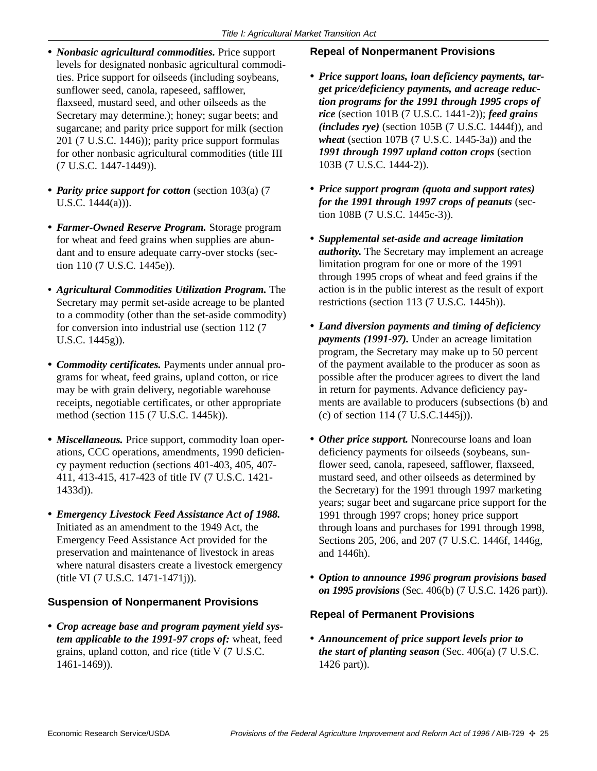- *• Nonbasic agricultural commodities.* Price support levels for designated nonbasic agricultural commodities. Price support for oilseeds (including soybeans, sunflower seed, canola, rapeseed, safflower, flaxseed, mustard seed, and other oilseeds as the Secretary may determine.); honey; sugar beets; and sugarcane; and parity price support for milk (section 201 (7 U.S.C. 1446)); parity price support formulas for other nonbasic agricultural commodities (title III (7 U.S.C. 1447-1449)).
- *• Parity price support for cotton* (section 103(a) (7 U.S.C. 1444(a))).
- *• Farmer-Owned Reserve Program.* Storage program for wheat and feed grains when supplies are abundant and to ensure adequate carry-over stocks (section 110 (7 U.S.C. 1445e)).
- *Agricultural Commodities Utilization Program.* The Secretary may permit set-aside acreage to be planted to a commodity (other than the set-aside commodity) for conversion into industrial use (section 112 (7 U.S.C. 1445g)).
- *• Commodity certificates.* Payments under annual programs for wheat, feed grains, upland cotton, or rice may be with grain delivery, negotiable warehouse receipts, negotiable certificates, or other appropriate method (section 115 (7 U.S.C. 1445k)).
- *• Miscellaneous.* Price support, commodity loan operations, CCC operations, amendments, 1990 deficiency payment reduction (sections 401-403, 405, 407- 411, 413-415, 417-423 of title IV (7 U.S.C. 1421- 1433d)).
- *• Emergency Livestock Feed Assistance Act of 1988.* Initiated as an amendment to the 1949 Act, the Emergency Feed Assistance Act provided for the preservation and maintenance of livestock in areas where natural disasters create a livestock emergency (title VI (7 U.S.C. 1471-1471j)).

#### **Suspension of Nonpermanent Provisions**

*• Crop acreage base and program payment yield system applicable to the 1991-97 crops of:* wheat, feed grains, upland cotton, and rice (title V (7 U.S.C. 1461-1469)).

#### **Repeal of Nonpermanent Provisions**

- *• Price support loans, loan deficiency payments, target price/deficiency payments, and acreage reduction programs for the 1991 through 1995 crops of rice* (section 101B (7 U.S.C. 1441-2)); *feed grains (includes rye)* (section 105B (7 U.S.C. 1444f)), and *wheat* (section 107B (7 U.S.C. 1445-3a)) and the *1991 through 1997 upland cotton crops* (section 103B (7 U.S.C. 1444-2)).
- *• Price support program (quota and support rates) for the 1991 through 1997 crops of peanuts* (section 108B (7 U.S.C. 1445c-3)).
- *• Supplemental set-aside and acreage limitation authority.* The Secretary may implement an acreage limitation program for one or more of the 1991 through 1995 crops of wheat and feed grains if the action is in the public interest as the result of export restrictions (section 113 (7 U.S.C. 1445h)).
- *• Land diversion payments and timing of deficiency payments (1991-97).* Under an acreage limitation program, the Secretary may make up to 50 percent of the payment available to the producer as soon as possible after the producer agrees to divert the land in return for payments. Advance deficiency payments are available to producers (subsections (b) and (c) of section 114 (7 U.S.C.1445j)).
- *• Other price support.* Nonrecourse loans and loan deficiency payments for oilseeds (soybeans, sunflower seed, canola, rapeseed, safflower, flaxseed, mustard seed, and other oilseeds as determined by the Secretary) for the 1991 through 1997 marketing years; sugar beet and sugarcane price support for the 1991 through 1997 crops; honey price support through loans and purchases for 1991 through 1998, Sections 205, 206, and 207 (7 U.S.C. 1446f, 1446g, and 1446h).
- *• Option to announce 1996 program provisions based on 1995 provisions* (Sec. 406(b) (7 U.S.C. 1426 part)).

#### **Repeal of Permanent Provisions**

*• Announcement of price support levels prior to the start of planting season* (Sec. 406(a) (7 U.S.C. 1426 part)).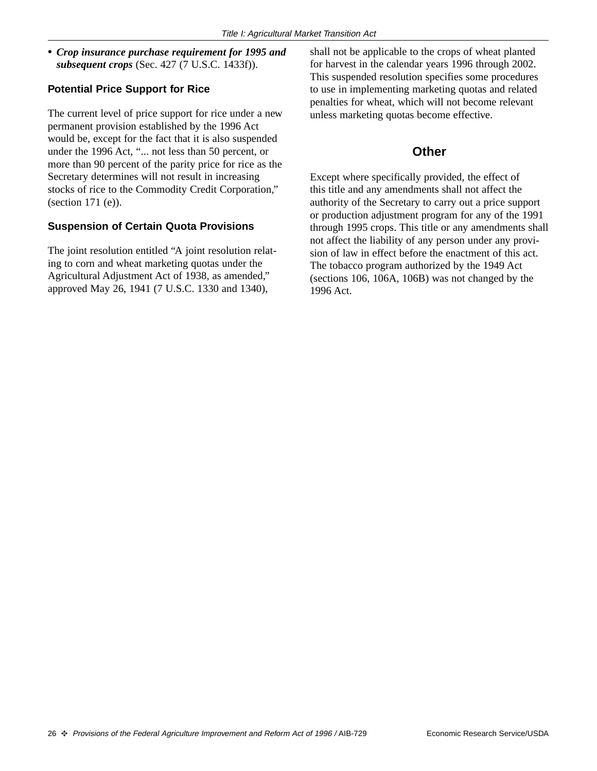*• Crop insurance purchase requirement for 1995 and subsequent crops* (Sec. 427 (7 U.S.C. 1433f)).

#### **Potential Price Support for Rice**

The current level of price support for rice under a new permanent provision established by the 1996 Act would be, except for the fact that it is also suspended under the 1996 Act, "... not less than 50 percent, or more than 90 percent of the parity price for rice as the Secretary determines will not result in increasing stocks of rice to the Commodity Credit Corporation," (section 171 (e)).

#### **Suspension of Certain Quota Provisions**

The joint resolution entitled "A joint resolution relating to corn and wheat marketing quotas under the Agricultural Adjustment Act of 1938, as amended," approved May 26, 1941 (7 U.S.C. 1330 and 1340),

shall not be applicable to the crops of wheat planted for harvest in the calendar years 1996 through 2002. This suspended resolution specifies some procedures to use in implementing marketing quotas and related penalties for wheat, which will not become relevant unless marketing quotas become effective.

#### **Other**

Except where specifically provided, the effect of this title and any amendments shall not affect the authority of the Secretary to carry out a price support or production adjustment program for any of the 1991 through 1995 crops. This title or any amendments shall not affect the liability of any person under any provision of law in effect before the enactment of this act. The tobacco program authorized by the 1949 Act (sections 106, 106A, 106B) was not changed by the 1996 Act.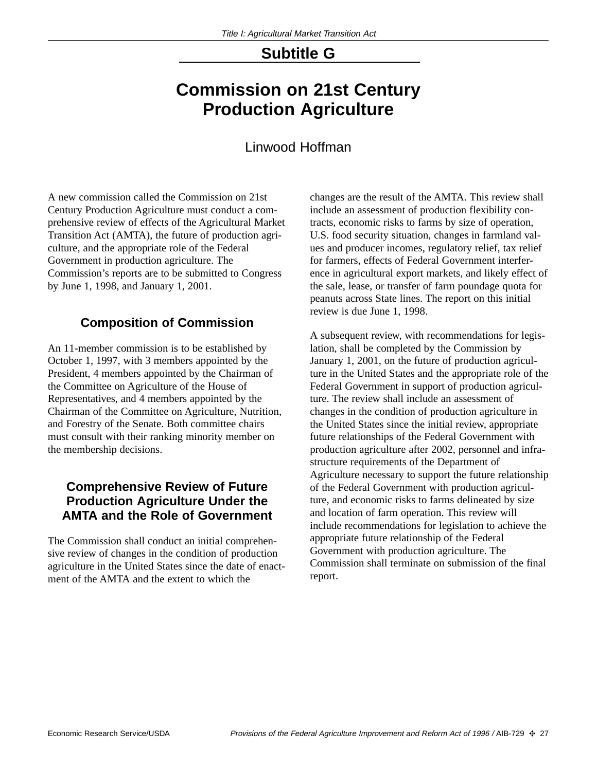## **Subtitle G**

## **Commission on 21st Century Production Agriculture**

## Linwood Hoffman

A new commission called the Commission on 21st Century Production Agriculture must conduct a comprehensive review of effects of the Agricultural Market Transition Act (AMTA), the future of production agriculture, and the appropriate role of the Federal Government in production agriculture. The Commission's reports are to be submitted to Congress by June 1, 1998, and January 1, 2001.

## **Composition of Commission**

An 11-member commission is to be established by October 1, 1997, with 3 members appointed by the President, 4 members appointed by the Chairman of the Committee on Agriculture of the House of Representatives, and 4 members appointed by the Chairman of the Committee on Agriculture, Nutrition, and Forestry of the Senate. Both committee chairs must consult with their ranking minority member on the membership decisions.

### **Comprehensive Review of Future Production Agriculture Under the AMTA and the Role of Government**

The Commission shall conduct an initial comprehensive review of changes in the condition of production agriculture in the United States since the date of enactment of the AMTA and the extent to which the

changes are the result of the AMTA. This review shall include an assessment of production flexibility contracts, economic risks to farms by size of operation, U.S. food security situation, changes in farmland values and producer incomes, regulatory relief, tax relief for farmers, effects of Federal Government interference in agricultural export markets, and likely effect of the sale, lease, or transfer of farm poundage quota for peanuts across State lines. The report on this initial review is due June 1, 1998.

A subsequent review, with recommendations for legislation, shall be completed by the Commission by January 1, 2001, on the future of production agriculture in the United States and the appropriate role of the Federal Government in support of production agriculture. The review shall include an assessment of changes in the condition of production agriculture in the United States since the initial review, appropriate future relationships of the Federal Government with production agriculture after 2002, personnel and infrastructure requirements of the Department of Agriculture necessary to support the future relationship of the Federal Government with production agriculture, and economic risks to farms delineated by size and location of farm operation. This review will include recommendations for legislation to achieve the appropriate future relationship of the Federal Government with production agriculture. The Commission shall terminate on submission of the final report.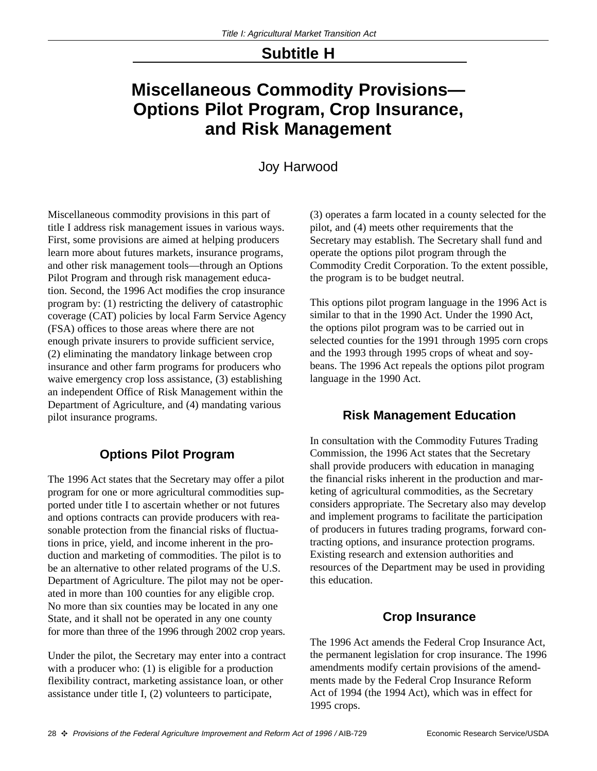## **Subtitle H**

## **Miscellaneous Commodity Provisions— Options Pilot Program, Crop Insurance, and Risk Management**

### Joy Harwood

Miscellaneous commodity provisions in this part of title I address risk management issues in various ways. First, some provisions are aimed at helping producers learn more about futures markets, insurance programs, and other risk management tools—through an Options Pilot Program and through risk management education. Second, the 1996 Act modifies the crop insurance program by: (1) restricting the delivery of catastrophic coverage (CAT) policies by local Farm Service Agency (FSA) offices to those areas where there are not enough private insurers to provide sufficient service, (2) eliminating the mandatory linkage between crop insurance and other farm programs for producers who waive emergency crop loss assistance, (3) establishing an independent Office of Risk Management within the Department of Agriculture, and (4) mandating various pilot insurance programs.

## **Options Pilot Program**

The 1996 Act states that the Secretary may offer a pilot program for one or more agricultural commodities supported under title I to ascertain whether or not futures and options contracts can provide producers with reasonable protection from the financial risks of fluctuations in price, yield, and income inherent in the production and marketing of commodities. The pilot is to be an alternative to other related programs of the U.S. Department of Agriculture. The pilot may not be operated in more than 100 counties for any eligible crop. No more than six counties may be located in any one State, and it shall not be operated in any one county for more than three of the 1996 through 2002 crop years.

Under the pilot, the Secretary may enter into a contract with a producer who: (1) is eligible for a production flexibility contract, marketing assistance loan, or other assistance under title I, (2) volunteers to participate,

(3) operates a farm located in a county selected for the pilot, and (4) meets other requirements that the Secretary may establish. The Secretary shall fund and operate the options pilot program through the Commodity Credit Corporation. To the extent possible, the program is to be budget neutral.

This options pilot program language in the 1996 Act is similar to that in the 1990 Act. Under the 1990 Act, the options pilot program was to be carried out in selected counties for the 1991 through 1995 corn crops and the 1993 through 1995 crops of wheat and soybeans. The 1996 Act repeals the options pilot program language in the 1990 Act.

#### **Risk Management Education**

In consultation with the Commodity Futures Trading Commission, the 1996 Act states that the Secretary shall provide producers with education in managing the financial risks inherent in the production and marketing of agricultural commodities, as the Secretary considers appropriate. The Secretary also may develop and implement programs to facilitate the participation of producers in futures trading programs, forward contracting options, and insurance protection programs. Existing research and extension authorities and resources of the Department may be used in providing this education.

#### **Crop Insurance**

The 1996 Act amends the Federal Crop Insurance Act, the permanent legislation for crop insurance. The 1996 amendments modify certain provisions of the amendments made by the Federal Crop Insurance Reform Act of 1994 (the 1994 Act), which was in effect for 1995 crops.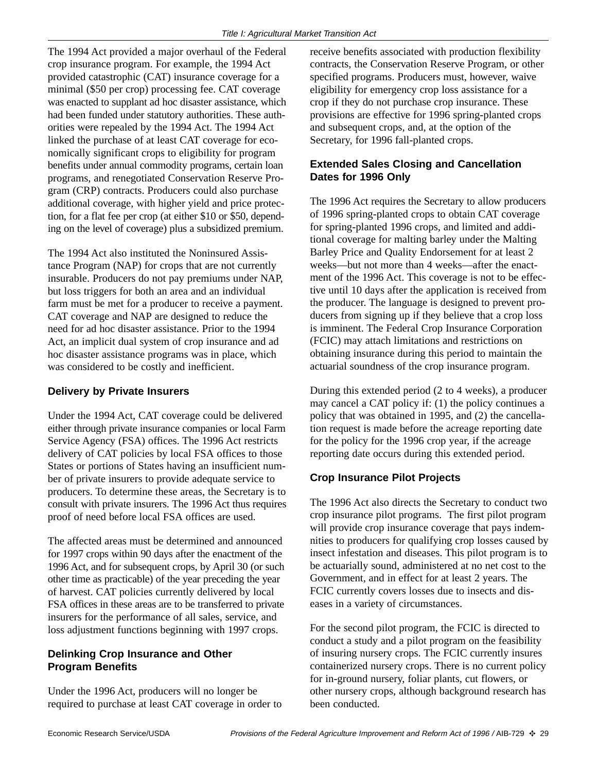The 1994 Act provided a major overhaul of the Federal crop insurance program. For example, the 1994 Act provided catastrophic (CAT) insurance coverage for a minimal (\$50 per crop) processing fee. CAT coverage was enacted to supplant ad hoc disaster assistance, which had been funded under statutory authorities. These authorities were repealed by the 1994 Act. The 1994 Act linked the purchase of at least CAT coverage for economically significant crops to eligibility for program benefits under annual commodity programs, certain loan programs, and renegotiated Conservation Reserve Program (CRP) contracts. Producers could also purchase additional coverage, with higher yield and price protection, for a flat fee per crop (at either \$10 or \$50, depending on the level of coverage) plus a subsidized premium.

The 1994 Act also instituted the Noninsured Assistance Program (NAP) for crops that are not currently insurable. Producers do not pay premiums under NAP, but loss triggers for both an area and an individual farm must be met for a producer to receive a payment. CAT coverage and NAP are designed to reduce the need for ad hoc disaster assistance. Prior to the 1994 Act, an implicit dual system of crop insurance and ad hoc disaster assistance programs was in place, which was considered to be costly and inefficient.

#### **Delivery by Private Insurers**

Under the 1994 Act, CAT coverage could be delivered either through private insurance companies or local Farm Service Agency (FSA) offices. The 1996 Act restricts delivery of CAT policies by local FSA offices to those States or portions of States having an insufficient number of private insurers to provide adequate service to producers. To determine these areas, the Secretary is to consult with private insurers. The 1996 Act thus requires proof of need before local FSA offices are used.

The affected areas must be determined and announced for 1997 crops within 90 days after the enactment of the 1996 Act, and for subsequent crops, by April 30 (or such other time as practicable) of the year preceding the year of harvest. CAT policies currently delivered by local FSA offices in these areas are to be transferred to private insurers for the performance of all sales, service, and loss adjustment functions beginning with 1997 crops.

#### **Delinking Crop Insurance and Other Program Benefits**

Under the 1996 Act, producers will no longer be required to purchase at least CAT coverage in order to receive benefits associated with production flexibility contracts, the Conservation Reserve Program, or other specified programs. Producers must, however, waive eligibility for emergency crop loss assistance for a crop if they do not purchase crop insurance. These provisions are effective for 1996 spring-planted crops and subsequent crops, and, at the option of the Secretary, for 1996 fall-planted crops.

#### **Extended Sales Closing and Cancellation Dates for 1996 Only**

The 1996 Act requires the Secretary to allow producers of 1996 spring-planted crops to obtain CAT coverage for spring-planted 1996 crops, and limited and additional coverage for malting barley under the Malting Barley Price and Quality Endorsement for at least 2 weeks—but not more than 4 weeks—after the enactment of the 1996 Act. This coverage is not to be effective until 10 days after the application is received from the producer. The language is designed to prevent producers from signing up if they believe that a crop loss is imminent. The Federal Crop Insurance Corporation (FCIC) may attach limitations and restrictions on obtaining insurance during this period to maintain the actuarial soundness of the crop insurance program.

During this extended period (2 to 4 weeks), a producer may cancel a CAT policy if: (1) the policy continues a policy that was obtained in 1995, and (2) the cancellation request is made before the acreage reporting date for the policy for the 1996 crop year, if the acreage reporting date occurs during this extended period.

#### **Crop Insurance Pilot Projects**

The 1996 Act also directs the Secretary to conduct two crop insurance pilot programs. The first pilot program will provide crop insurance coverage that pays indemnities to producers for qualifying crop losses caused by insect infestation and diseases. This pilot program is to be actuarially sound, administered at no net cost to the Government, and in effect for at least 2 years. The FCIC currently covers losses due to insects and diseases in a variety of circumstances.

For the second pilot program, the FCIC is directed to conduct a study and a pilot program on the feasibility of insuring nursery crops. The FCIC currently insures containerized nursery crops. There is no current policy for in-ground nursery, foliar plants, cut flowers, or other nursery crops, although background research has been conducted.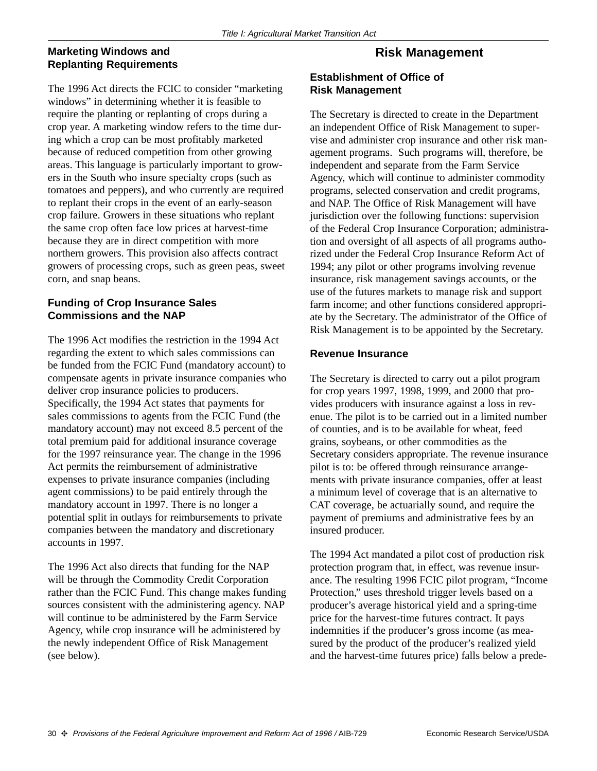#### **Marketing Windows and Replanting Requirements**

#### The 1996 Act directs the FCIC to consider "marketing windows" in determining whether it is feasible to require the planting or replanting of crops during a crop year. A marketing window refers to the time during which a crop can be most profitably marketed because of reduced competition from other growing areas. This language is particularly important to growers in the South who insure specialty crops (such as tomatoes and peppers), and who currently are required to replant their crops in the event of an early-season crop failure. Growers in these situations who replant the same crop often face low prices at harvest-time because they are in direct competition with more northern growers. This provision also affects contract growers of processing crops, such as green peas, sweet corn, and snap beans.

#### **Funding of Crop Insurance Sales Commissions and the NAP**

The 1996 Act modifies the restriction in the 1994 Act regarding the extent to which sales commissions can be funded from the FCIC Fund (mandatory account) to compensate agents in private insurance companies who deliver crop insurance policies to producers. Specifically, the 1994 Act states that payments for sales commissions to agents from the FCIC Fund (the mandatory account) may not exceed 8.5 percent of the total premium paid for additional insurance coverage for the 1997 reinsurance year. The change in the 1996 Act permits the reimbursement of administrative expenses to private insurance companies (including agent commissions) to be paid entirely through the mandatory account in 1997. There is no longer a potential split in outlays for reimbursements to private companies between the mandatory and discretionary accounts in 1997.

The 1996 Act also directs that funding for the NAP will be through the Commodity Credit Corporation rather than the FCIC Fund. This change makes funding sources consistent with the administering agency. NAP will continue to be administered by the Farm Service Agency, while crop insurance will be administered by the newly independent Office of Risk Management (see below).

## **Risk Management**

#### **Establishment of Office of Risk Management**

The Secretary is directed to create in the Department an independent Office of Risk Management to supervise and administer crop insurance and other risk management programs. Such programs will, therefore, be independent and separate from the Farm Service Agency, which will continue to administer commodity programs, selected conservation and credit programs, and NAP. The Office of Risk Management will have jurisdiction over the following functions: supervision of the Federal Crop Insurance Corporation; administration and oversight of all aspects of all programs authorized under the Federal Crop Insurance Reform Act of 1994; any pilot or other programs involving revenue insurance, risk management savings accounts, or the use of the futures markets to manage risk and support farm income; and other functions considered appropriate by the Secretary. The administrator of the Office of Risk Management is to be appointed by the Secretary.

#### **Revenue Insurance**

The Secretary is directed to carry out a pilot program for crop years 1997, 1998, 1999, and 2000 that provides producers with insurance against a loss in revenue. The pilot is to be carried out in a limited number of counties, and is to be available for wheat, feed grains, soybeans, or other commodities as the Secretary considers appropriate. The revenue insurance pilot is to: be offered through reinsurance arrangements with private insurance companies, offer at least a minimum level of coverage that is an alternative to CAT coverage, be actuarially sound, and require the payment of premiums and administrative fees by an insured producer.

The 1994 Act mandated a pilot cost of production risk protection program that, in effect, was revenue insurance. The resulting 1996 FCIC pilot program, "Income Protection," uses threshold trigger levels based on a producer's average historical yield and a spring-time price for the harvest-time futures contract. It pays indemnities if the producer's gross income (as measured by the product of the producer's realized yield and the harvest-time futures price) falls below a prede